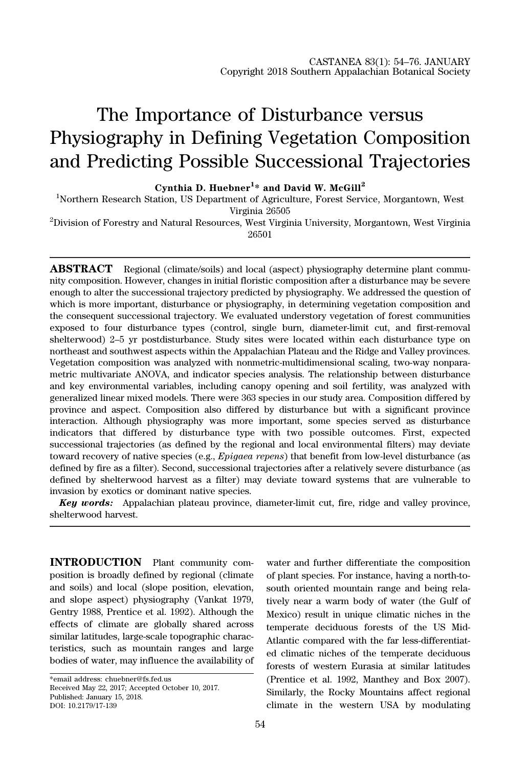# The Importance of Disturbance versus Physiography in Defining Vegetation Composition and Predicting Possible Successional Trajectories

Cynthia D. Huebner<sup>1\*</sup> and David W. McGill<sup>2</sup>

<sup>1</sup>Northern Research Station, US Department of Agriculture, Forest Service, Morgantown, West

Virginia 26505 <sup>2</sup> Division of Forestry and Natural Resources, West Virginia University, Morgantown, West Virginia 26501

**ABSTRACT** Regional (climate/soils) and local (aspect) physiography determine plant community composition. However, changes in initial floristic composition after a disturbance may be severe enough to alter the successional trajectory predicted by physiography. We addressed the question of which is more important, disturbance or physiography, in determining vegetation composition and the consequent successional trajectory. We evaluated understory vegetation of forest communities exposed to four disturbance types (control, single burn, diameter-limit cut, and first-removal shelterwood) 2–5 yr postdisturbance. Study sites were located within each disturbance type on northeast and southwest aspects within the Appalachian Plateau and the Ridge and Valley provinces. Vegetation composition was analyzed with nonmetric-multidimensional scaling, two-way nonparametric multivariate ANOVA, and indicator species analysis. The relationship between disturbance and key environmental variables, including canopy opening and soil fertility, was analyzed with generalized linear mixed models. There were 363 species in our study area. Composition differed by province and aspect. Composition also differed by disturbance but with a significant province interaction. Although physiography was more important, some species served as disturbance indicators that differed by disturbance type with two possible outcomes. First, expected successional trajectories (as defined by the regional and local environmental filters) may deviate toward recovery of native species (e.g., *Epigaea repens*) that benefit from low-level disturbance (as defined by fire as a filter). Second, successional trajectories after a relatively severe disturbance (as defined by shelterwood harvest as a filter) may deviate toward systems that are vulnerable to invasion by exotics or dominant native species.

**Key words:** Appalachian plateau province, diameter-limit cut, fire, ridge and valley province, shelterwood harvest.

INTRODUCTION Plant community composition is broadly defined by regional (climate and soils) and local (slope position, elevation, and slope aspect) physiography (Vankat 1979, Gentry 1988, Prentice et al. 1992). Although the effects of climate are globally shared across similar latitudes, large-scale topographic characteristics, such as mountain ranges and large bodies of water, may influence the availability of water and further differentiate the composition of plant species. For instance, having a north-tosouth oriented mountain range and being relatively near a warm body of water (the Gulf of Mexico) result in unique climatic niches in the temperate deciduous forests of the US Mid-Atlantic compared with the far less-differentiated climatic niches of the temperate deciduous forests of western Eurasia at similar latitudes (Prentice et al. 1992, Manthey and Box 2007). Similarly, the Rocky Mountains affect regional climate in the western USA by modulating

<sup>\*</sup>email address: chuebner@fs.fed.us Received May 22, 2017; Accepted October 10, 2017. Published: January 15, 2018. DOI: 10.2179/17-139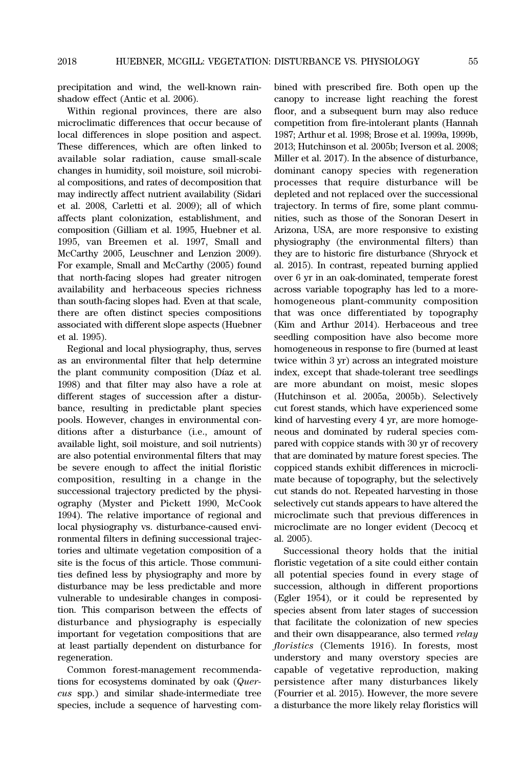precipitation and wind, the well-known rainshadow effect (Antic et al. 2006).

Within regional provinces, there are also microclimatic differences that occur because of local differences in slope position and aspect. These differences, which are often linked to available solar radiation, cause small-scale changes in humidity, soil moisture, soil microbial compositions, and rates of decomposition that may indirectly affect nutrient availability (Sidari et al. 2008, Carletti et al. 2009); all of which affects plant colonization, establishment, and composition (Gilliam et al. 1995, Huebner et al. 1995, van Breemen et al. 1997, Small and McCarthy 2005, Leuschner and Lenzion 2009). For example, Small and McCarthy (2005) found that north-facing slopes had greater nitrogen availability and herbaceous species richness than south-facing slopes had. Even at that scale, there are often distinct species compositions associated with different slope aspects (Huebner et al. 1995).

Regional and local physiography, thus, serves as an environmental filter that help determine the plant community composition (Díaz et al. 1998) and that filter may also have a role at different stages of succession after a disturbance, resulting in predictable plant species pools. However, changes in environmental conditions after a disturbance (i.e., amount of available light, soil moisture, and soil nutrients) are also potential environmental filters that may be severe enough to affect the initial floristic composition, resulting in a change in the successional trajectory predicted by the physiography (Myster and Pickett 1990, McCook 1994). The relative importance of regional and local physiography vs. disturbance-caused environmental filters in defining successional trajectories and ultimate vegetation composition of a site is the focus of this article. Those communities defined less by physiography and more by disturbance may be less predictable and more vulnerable to undesirable changes in composition. This comparison between the effects of disturbance and physiography is especially important for vegetation compositions that are at least partially dependent on disturbance for regeneration.

Common forest-management recommendations for ecosystems dominated by oak (Quercus spp.) and similar shade-intermediate tree species, include a sequence of harvesting com-

bined with prescribed fire. Both open up the canopy to increase light reaching the forest floor, and a subsequent burn may also reduce competition from fire-intolerant plants (Hannah 1987; Arthur et al. 1998; Brose et al. 1999a, 1999b, 2013; Hutchinson et al. 2005b; Iverson et al. 2008; Miller et al. 2017). In the absence of disturbance, dominant canopy species with regeneration processes that require disturbance will be depleted and not replaced over the successional trajectory. In terms of fire, some plant communities, such as those of the Sonoran Desert in Arizona, USA, are more responsive to existing physiography (the environmental filters) than they are to historic fire disturbance (Shryock et al. 2015). In contrast, repeated burning applied over 6 yr in an oak-dominated, temperate forest across variable topography has led to a morehomogeneous plant-community composition that was once differentiated by topography (Kim and Arthur 2014). Herbaceous and tree seedling composition have also become more homogeneous in response to fire (burned at least twice within 3 yr) across an integrated moisture index, except that shade-tolerant tree seedlings are more abundant on moist, mesic slopes (Hutchinson et al. 2005a, 2005b). Selectively cut forest stands, which have experienced some kind of harvesting every 4 yr, are more homogeneous and dominated by ruderal species compared with coppice stands with 30 yr of recovery that are dominated by mature forest species. The coppiced stands exhibit differences in microclimate because of topography, but the selectively cut stands do not. Repeated harvesting in those selectively cut stands appears to have altered the microclimate such that previous differences in microclimate are no longer evident (Decocq et al. 2005).

Successional theory holds that the initial floristic vegetation of a site could either contain all potential species found in every stage of succession, although in different proportions (Egler 1954), or it could be represented by species absent from later stages of succession that facilitate the colonization of new species and their own disappearance, also termed relay floristics (Clements 1916). In forests, most understory and many overstory species are capable of vegetative reproduction, making persistence after many disturbances likely (Fourrier et al. 2015). However, the more severe a disturbance the more likely relay floristics will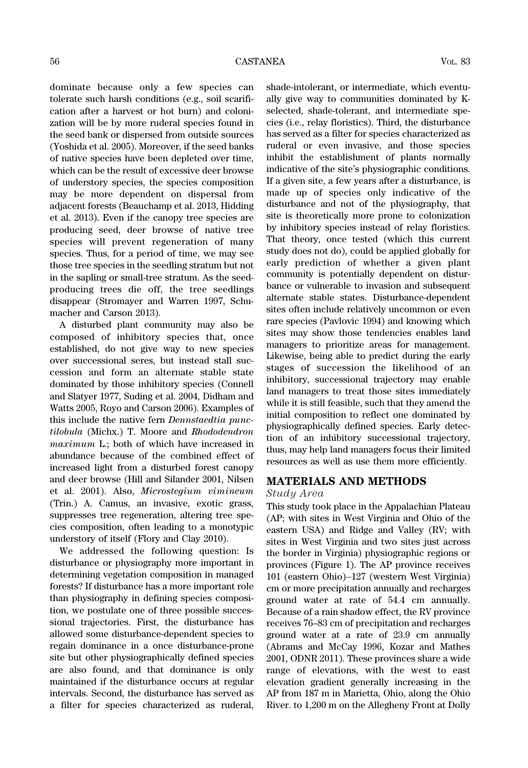dominate because only a few species can tolerate such harsh conditions (e.g., soil scarification after a harvest or hot burn) and colonization will be by more ruderal species found in the seed bank or dispersed from outside sources (Yoshida et al. 2005). Moreover, if the seed banks of native species have been depleted over time, which can be the result of excessive deer browse of understory species, the species composition may be more dependent on dispersal from adjacent forests (Beauchamp et al. 2013, Hidding et al. 2013). Even if the canopy tree species are producing seed, deer browse of native tree species will prevent regeneration of many species. Thus, for a period of time, we may see those tree species in the seedling stratum but not in the sapling or small-tree stratum. As the seedproducing trees die off, the tree seedlings disappear (Stromayer and Warren 1997, Schumacher and Carson 2013).

A disturbed plant community may also be composed of inhibitory species that, once established, do not give way to new species over successional seres, but instead stall succession and form an alternate stable state dominated by those inhibitory species (Connell and Slatyer 1977, Suding et al. 2004, Didham and Watts 2005, Royo and Carson 2006). Examples of this include the native fern Dennstaedtia punctilobula (Michx.) T. Moore and Rhododendron maximum L.; both of which have increased in abundance because of the combined effect of increased light from a disturbed forest canopy and deer browse (Hill and Silander 2001, Nilsen et al. 2001). Also, Microstegium vimineum (Trin.) A. Camus, an invasive, exotic grass, suppresses tree regeneration, altering tree species composition, often leading to a monotypic understory of itself (Flory and Clay 2010).

We addressed the following question: Is disturbance or physiography more important in determining vegetation composition in managed forests? If disturbance has a more important role than physiography in defining species composition, we postulate one of three possible successional trajectories. First, the disturbance has allowed some disturbance-dependent species to regain dominance in a once disturbance-prone site but other physiographically defined species are also found, and that dominance is only maintained if the disturbance occurs at regular intervals. Second, the disturbance has served as a filter for species characterized as ruderal,

shade-intolerant, or intermediate, which eventually give way to communities dominated by Kselected, shade-tolerant, and intermediate species (i.e., relay floristics). Third, the disturbance has served as a filter for species characterized as ruderal or even invasive, and those species inhibit the establishment of plants normally indicative of the site's physiographic conditions. If a given site, a few years after a disturbance, is made up of species only indicative of the disturbance and not of the physiography, that site is theoretically more prone to colonization by inhibitory species instead of relay floristics. That theory, once tested (which this current study does not do), could be applied globally for early prediction of whether a given plant community is potentially dependent on disturbance or vulnerable to invasion and subsequent alternate stable states. Disturbance-dependent sites often include relatively uncommon or even rare species (Pavlovic 1994) and knowing which sites may show those tendencies enables land managers to prioritize areas for management. Likewise, being able to predict during the early stages of succession the likelihood of an inhibitory, successional trajectory may enable land managers to treat those sites immediately while it is still feasible, such that they amend the initial composition to reflect one dominated by physiographically defined species. Early detection of an inhibitory successional trajectory, thus, may help land managers focus their limited resources as well as use them more efficiently.

# MATERIALS AND METHODS

#### Study Area

This study took place in the Appalachian Plateau (AP; with sites in West Virginia and Ohio of the eastern USA) and Ridge and Valley (RV; with sites in West Virginia and two sites just across the border in Virginia) physiographic regions or provinces (Figure 1). The AP province receives 101 (eastern Ohio)-127 (western West Virginia) cm or more precipitation annually and recharges ground water at rate of 54.4 cm annually. Because of a rain shadow effect, the RV province receives 76–83 cm of precipitation and recharges ground water at a rate of 23.9 cm annually (Abrams and McCay 1996, Kozar and Mathes 2001, ODNR 2011). These provinces share a wide range of elevations, with the west to east elevation gradient generally increasing in the AP from 187 m in Marietta, Ohio, along the Ohio River. to 1,200 m on the Allegheny Front at Dolly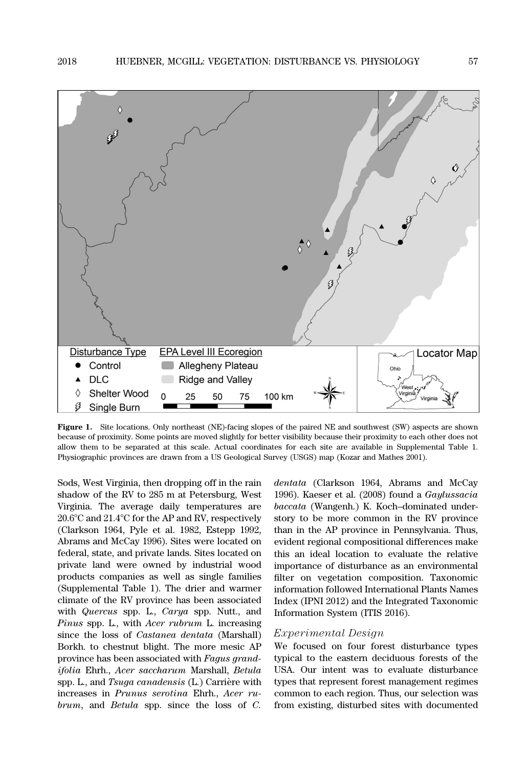

Figure 1. Site locations. Only northeast (NE)-facing slopes of the paired NE and southwest (SW) aspects are shown because of proximity. Some points are moved slightly for better visibility because their proximity to each other does not allow them to be separated at this scale. Actual coordinates for each site are available in Supplemental Table 1. Physiographic provinces are drawn from a US Geological Survey (USGS) map (Kozar and Mathes 2001).

Sods, West Virginia, then dropping off in the rain shadow of the RV to 285 m at Petersburg, West Virginia. The average daily temperatures are  $20.6^{\circ}$ C and  $21.4^{\circ}$ C for the AP and RV, respectively (Clarkson 1964, Pyle et al. 1982, Estepp 1992, Abrams and McCay 1996). Sites were located on federal, state, and private lands. Sites located on private land were owned by industrial wood products companies as well as single families (Supplemental Table 1). The drier and warmer climate of the RV province has been associated with *Quercus* spp. L., *Carya* spp. Nutt., and Pinus spp. L., with Acer rubrum L. increasing since the loss of Castanea dentata (Marshall) Borkh. to chestnut blight. The more mesic AP province has been associated with Fagus grandifolia Ehrh., Acer saccharum Marshall, Betula spp. L., and Tsuga canadensis (L.) Carrière with increases in Prunus serotina Ehrh., Acer rubrum, and Betula spp. since the loss of C. dentata (Clarkson 1964, Abrams and McCay 1996). Kaeser et al. (2008) found a Gaylussacia baccata (Wangenh.) K. Koch–dominated understory to be more common in the RV province than in the AP province in Pennsylvania. Thus, evident regional compositional differences make this an ideal location to evaluate the relative importance of disturbance as an environmental filter on vegetation composition. Taxonomic information followed International Plants Names Index (IPNI 2012) and the Integrated Taxonomic Information System (ITIS 2016).

#### Experimental Design

We focused on four forest disturbance types typical to the eastern deciduous forests of the USA. Our intent was to evaluate disturbance types that represent forest management regimes common to each region. Thus, our selection was from existing, disturbed sites with documented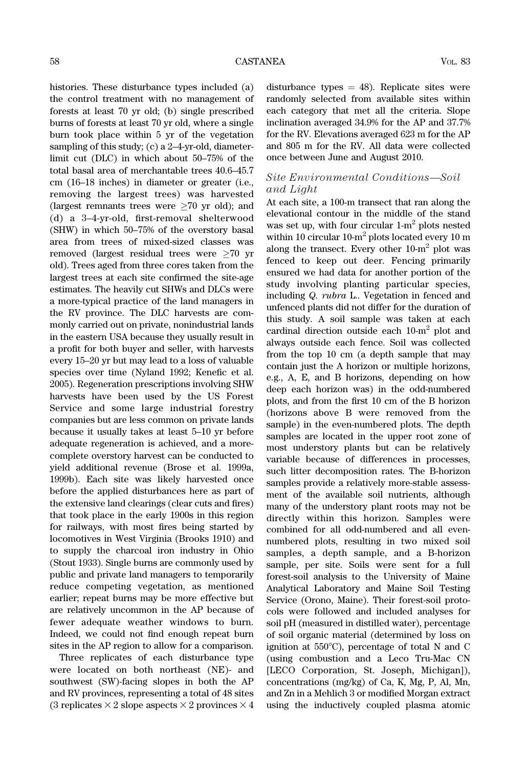histories. These disturbance types included (a) the control treatment with no management of forests at least 70 yr old; (b) single prescribed burns of forests at least 70 yr old, where a single burn took place within 5 yr of the vegetation sampling of this study; (c) a 2–4-yr-old, diameterlimit cut (DLC) in which about 50–75% of the total basal area of merchantable trees 40.6–45.7 cm (16–18 inches) in diameter or greater (i.e., removing the largest trees) was harvested (largest remnants trees were  $\geq 70$  yr old); and (d) a 3–4-yr-old, first-removal shelterwood (SHW) in which 50–75% of the overstory basal area from trees of mixed-sized classes was removed (largest residual trees were  $\geq 70$  yr old). Trees aged from three cores taken from the largest trees at each site confirmed the site-age estimates. The heavily cut SHWs and DLCs were a more-typical practice of the land managers in the RV province. The DLC harvests are commonly carried out on private, nonindustrial lands in the eastern USA because they usually result in a profit for both buyer and seller, with harvests every 15–20 yr but may lead to a loss of valuable species over time (Nyland 1992; Kenefic et al. 2005). Regeneration prescriptions involving SHW harvests have been used by the US Forest Service and some large industrial forestry companies but are less common on private lands because it usually takes at least 5–10 yr before adequate regeneration is achieved, and a morecomplete overstory harvest can be conducted to yield additional revenue (Brose et al. 1999a, 1999b). Each site was likely harvested once before the applied disturbances here as part of the extensive land clearings (clear cuts and fires) that took place in the early 1900s in this region for railways, with most fires being started by locomotives in West Virginia (Brooks 1910) and to supply the charcoal iron industry in Ohio (Stout 1933). Single burns are commonly used by public and private land managers to temporarily reduce competing vegetation, as mentioned earlier; repeat burns may be more effective but are relatively uncommon in the AP because of fewer adequate weather windows to burn. Indeed, we could not find enough repeat burn sites in the AP region to allow for a comparison.

Three replicates of each disturbance type were located on both northeast (NE)- and southwest (SW)-facing slopes in both the AP and RV provinces, representing a total of 48 sites (3 replicates  $\times$  2 slope aspects  $\times$  2 provinces  $\times$  4 disturbance types  $= 48$ ). Replicate sites were randomly selected from available sites within each category that met all the criteria. Slope inclination averaged 34.9% for the AP and 37.7% for the RV. Elevations averaged 623 m for the AP and 805 m for the RV. All data were collected once between June and August 2010.

# Site Environmental Conditions—Soil and Light

At each site, a 100-m transect that ran along the elevational contour in the middle of the stand was set up, with four circular  $1-m^2$  plots nested within 10 circular  $10\text{-m}^2$  plots located every 10 m along the transect. Every other  $10\text{-m}^2$  plot was fenced to keep out deer. Fencing primarily ensured we had data for another portion of the study involving planting particular species, including Q. rubra L.. Vegetation in fenced and unfenced plants did not differ for the duration of this study. A soil sample was taken at each cardinal direction outside each  $10\text{-m}^2$  plot and always outside each fence. Soil was collected from the top 10 cm (a depth sample that may contain just the A horizon or multiple horizons, e.g., A, E, and B horizons, depending on how deep each horizon was) in the odd-numbered plots, and from the first 10 cm of the B horizon (horizons above B were removed from the sample) in the even-numbered plots. The depth samples are located in the upper root zone of most understory plants but can be relatively variable because of differences in processes, such litter decomposition rates. The B-horizon samples provide a relatively more-stable assessment of the available soil nutrients, although many of the understory plant roots may not be directly within this horizon. Samples were combined for all odd-numbered and all evennumbered plots, resulting in two mixed soil samples, a depth sample, and a B-horizon sample, per site. Soils were sent for a full forest-soil analysis to the University of Maine Analytical Laboratory and Maine Soil Testing Service (Orono, Maine). Their forest-soil protocols were followed and included analyses for soil pH (measured in distilled water), percentage of soil organic material (determined by loss on ignition at  $550^{\circ}$ C), percentage of total N and C (using combustion and a Leco Tru-Mac CN [LECO Corporation, St. Joseph, Michigan]), concentrations (mg/kg) of Ca, K, Mg, P, Al, Mn, and Zn in a Mehlich 3 or modified Morgan extract using the inductively coupled plasma atomic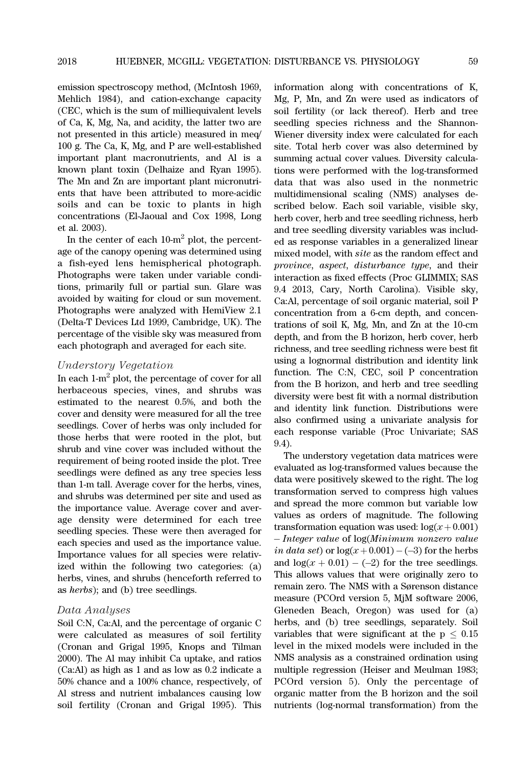emission spectroscopy method, (McIntosh 1969, Mehlich 1984), and cation-exchange capacity (CEC, which is the sum of milliequivalent levels of Ca, K, Mg, Na, and acidity, the latter two are not presented in this article) measured in meq/ 100 g. The Ca, K, Mg, and P are well-established important plant macronutrients, and Al is a known plant toxin (Delhaize and Ryan 1995). The Mn and Zn are important plant micronutrients that have been attributed to more-acidic soils and can be toxic to plants in high concentrations (El-Jaoual and Cox 1998, Long et al. 2003).

In the center of each  $10\text{-m}^2$  plot, the percentage of the canopy opening was determined using a fish-eyed lens hemispherical photograph. Photographs were taken under variable conditions, primarily full or partial sun. Glare was avoided by waiting for cloud or sun movement. Photographs were analyzed with HemiView 2.1 (Delta-T Devices Ltd 1999, Cambridge, UK). The percentage of the visible sky was measured from each photograph and averaged for each site.

#### Understory Vegetation

In each  $1-m^2$  plot, the percentage of cover for all herbaceous species, vines, and shrubs was estimated to the nearest 0.5%, and both the cover and density were measured for all the tree seedlings. Cover of herbs was only included for those herbs that were rooted in the plot, but shrub and vine cover was included without the requirement of being rooted inside the plot. Tree seedlings were defined as any tree species less than 1-m tall. Average cover for the herbs, vines, and shrubs was determined per site and used as the importance value. Average cover and average density were determined for each tree seedling species. These were then averaged for each species and used as the importance value. Importance values for all species were relativized within the following two categories: (a) herbs, vines, and shrubs (henceforth referred to as herbs); and (b) tree seedlings.

#### Data Analyses

Soil C:N, Ca:Al, and the percentage of organic C were calculated as measures of soil fertility (Cronan and Grigal 1995, Knops and Tilman 2000). The Al may inhibit Ca uptake, and ratios (Ca:Al) as high as 1 and as low as 0.2 indicate a 50% chance and a 100% chance, respectively, of Al stress and nutrient imbalances causing low soil fertility (Cronan and Grigal 1995). This

information along with concentrations of K, Mg, P, Mn, and Zn were used as indicators of soil fertility (or lack thereof). Herb and tree seedling species richness and the Shannon-Wiener diversity index were calculated for each site. Total herb cover was also determined by summing actual cover values. Diversity calculations were performed with the log-transformed data that was also used in the nonmetric multidimensional scaling (NMS) analyses described below. Each soil variable, visible sky, herb cover, herb and tree seedling richness, herb and tree seedling diversity variables was included as response variables in a generalized linear mixed model, with site as the random effect and province, aspect, disturbance type, and their interaction as fixed effects (Proc GLIMMIX; SAS 9.4 2013, Cary, North Carolina). Visible sky, Ca:Al, percentage of soil organic material, soil P concentration from a 6-cm depth, and concentrations of soil K, Mg, Mn, and Zn at the 10-cm depth, and from the B horizon, herb cover, herb richness, and tree seedling richness were best fit using a lognormal distribution and identity link function. The C:N, CEC, soil P concentration from the B horizon, and herb and tree seedling diversity were best fit with a normal distribution and identity link function. Distributions were also confirmed using a univariate analysis for each response variable (Proc Univariate; SAS 9.4).

The understory vegetation data matrices were evaluated as log-transformed values because the data were positively skewed to the right. The log transformation served to compress high values and spread the more common but variable low values as orders of magnitude. The following transformation equation was used:  $log(x + 0.001)$ - Integer value of log(Minimum nonzero value in data set) or  $log(x + 0.001) - (-3)$  for the herbs and  $log(x + 0.01) - (-2)$  for the tree seedlings. This allows values that were originally zero to remain zero. The NMS with a Sørenson distance measure (PCOrd version 5, MjM software 2006, Gleneden Beach, Oregon) was used for (a) herbs, and (b) tree seedlings, separately. Soil variables that were significant at the  $p \leq 0.15$ level in the mixed models were included in the NMS analysis as a constrained ordination using multiple regression (Heiser and Meulman 1983; PCOrd version 5). Only the percentage of organic matter from the B horizon and the soil nutrients (log-normal transformation) from the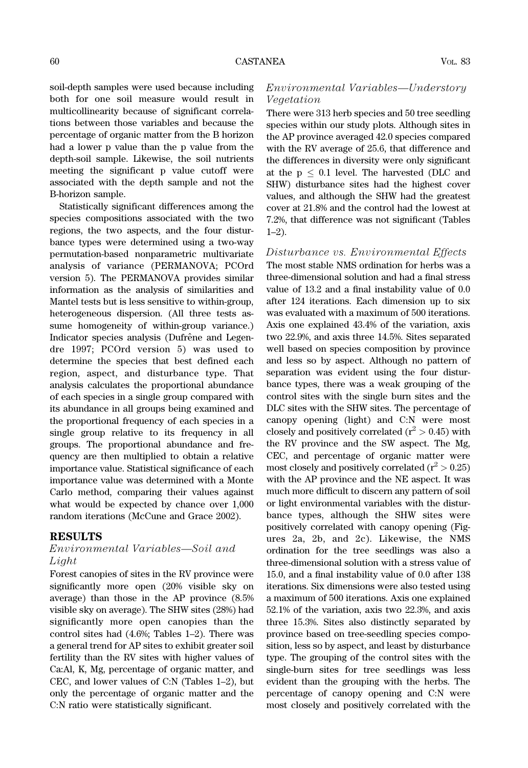soil-depth samples were used because including both for one soil measure would result in multicollinearity because of significant correlations between those variables and because the percentage of organic matter from the B horizon had a lower p value than the p value from the depth-soil sample. Likewise, the soil nutrients meeting the significant p value cutoff were associated with the depth sample and not the B-horizon sample.

Statistically significant differences among the species compositions associated with the two regions, the two aspects, and the four disturbance types were determined using a two-way permutation-based nonparametric multivariate analysis of variance (PERMANOVA; PCOrd version 5). The PERMANOVA provides similar information as the analysis of similarities and Mantel tests but is less sensitive to within-group, heterogeneous dispersion. (All three tests assume homogeneity of within-group variance.) Indicator species analysis (Dufrêne and Legendre 1997; PCOrd version 5) was used to determine the species that best defined each region, aspect, and disturbance type. That analysis calculates the proportional abundance of each species in a single group compared with its abundance in all groups being examined and the proportional frequency of each species in a single group relative to its frequency in all groups. The proportional abundance and frequency are then multiplied to obtain a relative importance value. Statistical significance of each importance value was determined with a Monte Carlo method, comparing their values against what would be expected by chance over 1,000 random iterations (McCune and Grace 2002).

# RESULTS

# Environmental Variables—Soil and Light

Forest canopies of sites in the RV province were significantly more open (20% visible sky on average) than those in the AP province (8.5% visible sky on average). The SHW sites (28%) had significantly more open canopies than the control sites had (4.6%; Tables 1–2). There was a general trend for AP sites to exhibit greater soil fertility than the RV sites with higher values of Ca:Al, K, Mg, percentage of organic matter, and CEC, and lower values of C:N (Tables 1–2), but only the percentage of organic matter and the C:N ratio were statistically significant.

# Environmental Variables—Understory Vegetation

There were 313 herb species and 50 tree seedling species within our study plots. Although sites in the AP province averaged 42.0 species compared with the RV average of 25.6, that difference and the differences in diversity were only significant at the  $p \leq 0.1$  level. The harvested (DLC and SHW) disturbance sites had the highest cover values, and although the SHW had the greatest cover at 21.8% and the control had the lowest at 7.2%, that difference was not significant (Tables  $1-2$ ).

#### Disturbance vs. Environmental Effects

The most stable NMS ordination for herbs was a three-dimensional solution and had a final stress value of 13.2 and a final instability value of 0.0 after 124 iterations. Each dimension up to six was evaluated with a maximum of 500 iterations. Axis one explained 43.4% of the variation, axis two 22.9%, and axis three 14.5%. Sites separated well based on species composition by province and less so by aspect. Although no pattern of separation was evident using the four disturbance types, there was a weak grouping of the control sites with the single burn sites and the DLC sites with the SHW sites. The percentage of canopy opening (light) and C:N were most closely and positively correlated  $(r^2 > 0.45)$  with the RV province and the SW aspect. The Mg, CEC, and percentage of organic matter were most closely and positively correlated  $(r^2 > 0.25)$ with the AP province and the NE aspect. It was much more difficult to discern any pattern of soil or light environmental variables with the disturbance types, although the SHW sites were positively correlated with canopy opening (Figures 2a, 2b, and 2c). Likewise, the NMS ordination for the tree seedlings was also a three-dimensional solution with a stress value of 15.0, and a final instability value of 0.0 after 138 iterations. Six dimensions were also tested using a maximum of 500 iterations. Axis one explained 52.1% of the variation, axis two 22.3%, and axis three 15.3%. Sites also distinctly separated by province based on tree-seedling species composition, less so by aspect, and least by disturbance type. The grouping of the control sites with the single-burn sites for tree seedlings was less evident than the grouping with the herbs. The percentage of canopy opening and C:N were most closely and positively correlated with the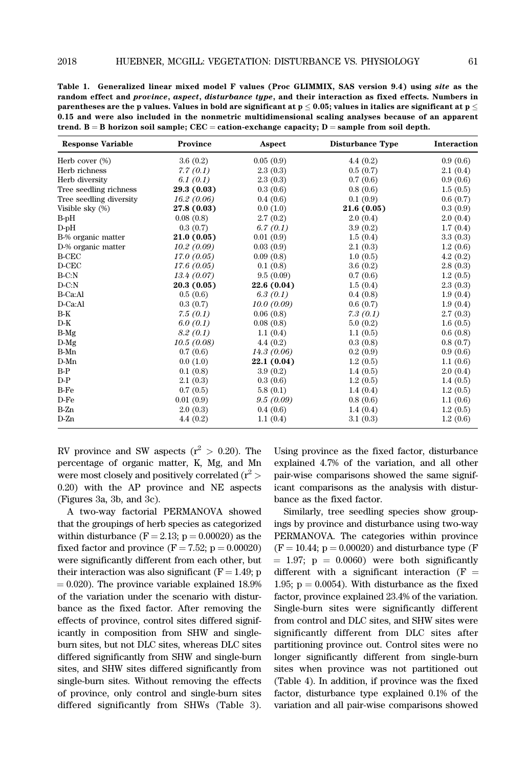| <b>Response Variable</b> | Province    | Aspect      | <b>Disturbance Type</b> | Interaction |
|--------------------------|-------------|-------------|-------------------------|-------------|
| Herb cover (%)           | 3.6(0.2)    | 0.05(0.9)   | 4.4(0.2)                | 0.9(0.6)    |
| Herb richness            | 7.7(0.1)    | 2.3(0.3)    | 0.5(0.7)                | 2.1(0.4)    |
| Herb diversity           | 6.1 $(0.1)$ | 2.3(0.3)    | 0.7(0.6)                | 0.9(0.6)    |
| Tree seedling richness   | 29.3(0.03)  | 0.3(0.6)    | 0.8(0.6)                | 1.5(0.5)    |
| Tree seedling diversity  | 16.2(0.06)  | 0.4(0.6)    | 0.1(0.9)                | 0.6(0.7)    |
| Visible sky $(\%)$       | 27.8(0.03)  | 0.0(1.0)    | 21.6(0.05)              | 0.3(0.9)    |
| $B-pH$                   | 0.08(0.8)   | 2.7(0.2)    | 2.0(0.4)                | 2.0(0.4)    |
| $D-pH$                   | 0.3(0.7)    | 6.7(0.1)    | 3.9(0.2)                | 1.7(0.4)    |
| B-% organic matter       | 21.0(0.05)  | 0.01(0.9)   | 1.5(0.4)                | 3.3(0.3)    |
| D-% organic matter       | 10.2(0.09)  | 0.03(0.9)   | 2.1(0.3)                | 1.2(0.6)    |
| <b>B-CEC</b>             | 17.0(0.05)  | 0.09(0.8)   | 1.0(0.5)                | 4.2(0.2)    |
| $D-CEC$                  | 17.6(0.05)  | 0.1(0.8)    | 3.6(0.2)                | 2.8(0.3)    |
| $B-C:N$                  | 13.4(0.07)  | 9.5(0.09)   | 0.7(0.6)                | 1.2(0.5)    |
| $D-C:N$                  | 20.3(0.05)  | 22.6(0.04)  | 1.5(0.4)                | 2.3(0.3)    |
| B-Ca:Al                  | 0.5(0.6)    | 6.3(0.1)    | 0.4(0.8)                | 1.9(0.4)    |
| D-Ca:Al                  | 0.3(0.7)    | 10.0(0.09)  | 0.6(0.7)                | 1.9(0.4)    |
| B-K                      | 7.5(0.1)    | 0.06(0.8)   | 7.3(0.1)                | 2.7(0.3)    |
| $D-K$                    | 6.0(0.1)    | 0.08(0.8)   | 5.0(0.2)                | 1.6(0.5)    |
| $B-Mg$                   | 8.2(0.1)    | 1.1(0.4)    | 1.1(0.5)                | 0.6(0.8)    |
| $D-Mg$                   | 10.5(0.08)  | 4.4(0.2)    | 0.3(0.8)                | 0.8(0.7)    |
| B-Mn                     | 0.7(0.6)    | 14.3(0.06)  | 0.2(0.9)                | 0.9(0.6)    |
| $D-Mn$                   | 0.0(1.0)    | 22.1 (0.04) | 1.2(0.5)                | 1.1(0.6)    |
| $B-P$                    | 0.1(0.8)    | 3.9(0.2)    | 1.4(0.5)                | 2.0(0.4)    |
| $D-P$                    | 2.1(0.3)    | 0.3(0.6)    | 1.2(0.5)                | 1.4(0.5)    |
| B-Fe                     | 0.7(0.5)    | 5.8(0.1)    | 1.4(0.4)                | 1.2(0.5)    |
| $D-Fe$                   | 0.01(0.9)   | 9.5(0.09)   | 0.8(0.6)                | 1.1(0.6)    |
| $B-Zn$                   | 2.0(0.3)    | 0.4(0.6)    | 1.4(0.4)                | 1.2(0.5)    |
| $D-Zn$                   | 4.4(0.2)    | 1.1(0.4)    | 3.1(0.3)                | 1.2(0.6)    |

Table 1. Generalized linear mixed model F values (Proc GLIMMIX, SAS version 9.4) using site as the random effect and province, aspect, disturbance type, and their interaction as fixed effects. Numbers in parentheses are the p values. Values in bold are significant at p  $\leq$  0.05; values in italics are significant at p  $\leq$ 0.15 and were also included in the nonmetric multidimensional scaling analyses because of an apparent trend.  $B = B$  horizon soil sample; CEC = cation-exchange capacity;  $D =$  sample from soil depth.

RV province and SW aspects  $(r^2 > 0.20)$ . The percentage of organic matter, K, Mg, and Mn were most closely and positively correlated  $(r^2 >$ 0.20) with the AP province and NE aspects (Figures 3a, 3b, and 3c).

A two-way factorial PERMANOVA showed that the groupings of herb species as categorized within disturbance  $(F = 2.13; p = 0.00020)$  as the fixed factor and province  $(F = 7.52; p = 0.00020)$ were significantly different from each other, but their interaction was also significant  $(F = 1.49; p$  $= 0.020$ ). The province variable explained 18.9% of the variation under the scenario with disturbance as the fixed factor. After removing the effects of province, control sites differed significantly in composition from SHW and singleburn sites, but not DLC sites, whereas DLC sites differed significantly from SHW and single-burn sites, and SHW sites differed significantly from single-burn sites. Without removing the effects of province, only control and single-burn sites differed significantly from SHWs (Table 3).

Using province as the fixed factor, disturbance explained 4.7% of the variation, and all other pair-wise comparisons showed the same significant comparisons as the analysis with disturbance as the fixed factor.

Similarly, tree seedling species show groupings by province and disturbance using two-way PERMANOVA. The categories within province  $(F = 10.44; p = 0.00020)$  and disturbance type (F)  $= 1.97$ ;  $p = 0.0060$ ) were both significantly different with a significant interaction  $(F =$ 1.95;  $p = 0.0054$ ). With disturbance as the fixed factor, province explained 23.4% of the variation. Single-burn sites were significantly different from control and DLC sites, and SHW sites were significantly different from DLC sites after partitioning province out. Control sites were no longer significantly different from single-burn sites when province was not partitioned out (Table 4). In addition, if province was the fixed factor, disturbance type explained 0.1% of the variation and all pair-wise comparisons showed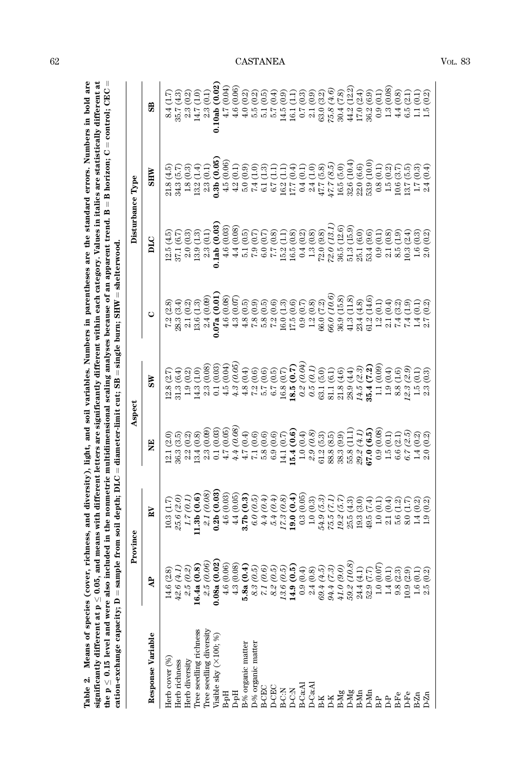| cation-exchange capacity; $D = sample$ :                                                                       | Province                                                                                                                                                             |                                                                                                                                                                                                                                                                                                                                                                                                                                                             |                                      |                              | from soil depth; $DLC =$ diameter-limit cut; SB = single burn; SHW = shelterwood. |                                                                                                                                                                                                                                | Disturbance Type |                                                                                                                                                                                                                                   |
|----------------------------------------------------------------------------------------------------------------|----------------------------------------------------------------------------------------------------------------------------------------------------------------------|-------------------------------------------------------------------------------------------------------------------------------------------------------------------------------------------------------------------------------------------------------------------------------------------------------------------------------------------------------------------------------------------------------------------------------------------------------------|--------------------------------------|------------------------------|-----------------------------------------------------------------------------------|--------------------------------------------------------------------------------------------------------------------------------------------------------------------------------------------------------------------------------|------------------|-----------------------------------------------------------------------------------------------------------------------------------------------------------------------------------------------------------------------------------|
|                                                                                                                |                                                                                                                                                                      |                                                                                                                                                                                                                                                                                                                                                                                                                                                             |                                      | Aspect                       |                                                                                   |                                                                                                                                                                                                                                |                  |                                                                                                                                                                                                                                   |
| Response Variable                                                                                              | ĄP                                                                                                                                                                   | $\mathbf{R}^{\mathbf{V}}$                                                                                                                                                                                                                                                                                                                                                                                                                                   | ž                                    | $\overline{\text{ss}}$       | $\circ$                                                                           | DLC                                                                                                                                                                                                                            | <b>SHW</b>       | SB <sub>3</sub>                                                                                                                                                                                                                   |
| Herb cover (%)                                                                                                 | 14.6(2.8)                                                                                                                                                            |                                                                                                                                                                                                                                                                                                                                                                                                                                                             |                                      |                              |                                                                                   |                                                                                                                                                                                                                                |                  |                                                                                                                                                                                                                                   |
| Herb richness                                                                                                  |                                                                                                                                                                      |                                                                                                                                                                                                                                                                                                                                                                                                                                                             | ${12.1 \ (2.0)}\atop {36.3 \ (3.5)}$ | $12.8\ (2.7) \\ 31.3\ (6.4)$ |                                                                                   |                                                                                                                                                                                                                                |                  |                                                                                                                                                                                                                                   |
| Herb diversity                                                                                                 |                                                                                                                                                                      |                                                                                                                                                                                                                                                                                                                                                                                                                                                             |                                      |                              |                                                                                   |                                                                                                                                                                                                                                |                  |                                                                                                                                                                                                                                   |
| Tree seedling richness                                                                                         |                                                                                                                                                                      |                                                                                                                                                                                                                                                                                                                                                                                                                                                             |                                      |                              |                                                                                   | $\begin{array}{c} 12.5 \\ 37.1 \\ 2.0 \\ 13.9 \\ 13.3 \\ \hline \end{array}$<br>$\begin{array}{c} 12.5 \\ 37.1 \\ 2.9 \\ 13.0 \\ \hline \end{array}$                                                                           |                  | $35.7$ $35.7$ $35.7$ $35.7$ $3.3$ $14.7$ $2.3$ $0.10ab$                                                                                                                                                                           |
| Tree seedling diversity                                                                                        |                                                                                                                                                                      |                                                                                                                                                                                                                                                                                                                                                                                                                                                             |                                      |                              |                                                                                   |                                                                                                                                                                                                                                |                  |                                                                                                                                                                                                                                   |
| Visible sky $(\times 100;\, \%)$                                                                               | $\begin{array}{c} 42.6\ (4.1)\\ 2.5\ (0.2)\\ 16.4\ \mathbf{a}\ (0.8)\\ 2.5\ (0.03)\\ 2.5\ (0.06)\\ 2.6\ (0.02)\\ 0.08\ \mathbf{a}\ (0.02)\\ 4.6\ (0.06) \end{array}$ | $\begin{array}{l} \mathbb{C} \oplus \mathbb{C} \oplus \mathbb{C} \oplus \mathbb{C} \oplus \mathbb{C} \oplus \mathbb{C} \oplus \mathbb{C} \oplus \mathbb{C} \oplus \mathbb{C} \oplus \mathbb{C} \oplus \mathbb{C} \oplus \mathbb{C} \oplus \mathbb{C} \oplus \mathbb{C} \oplus \mathbb{C} \oplus \mathbb{C} \oplus \mathbb{C} \oplus \mathbb{C} \oplus \mathbb{C} \oplus \mathbb{C} \oplus \mathbb{C} \oplus \mathbb{C} \oplus \mathbb{C} \oplus \mathbb{C}$ |                                      |                              |                                                                                   | ය<br>අයුතුය ද සිති පිටුවලට සිතු සිතු සිතු වලට පිටුවලට<br>අයුතුය ද සිතු සිතු පිටුවලට සිතු සිතු සිතු වලට පැවත                                                                                                                    |                  | a<br>2 ซี ยี ยี 3 สิง ยังยัง ยังยังยัง ยู มี 4 ชี บี 8 ซี บี ปี ยัง<br>2 ซี ยี ยังยังยังยังยังยังยังยู่ 4 ชี บี 8 ซี บี ปี ยัง                                                                                                    |
| $_{\rm BpH}$                                                                                                   |                                                                                                                                                                      |                                                                                                                                                                                                                                                                                                                                                                                                                                                             |                                      |                              |                                                                                   |                                                                                                                                                                                                                                |                  |                                                                                                                                                                                                                                   |
| $D$ -pH                                                                                                        | 4.3(0.08)                                                                                                                                                            |                                                                                                                                                                                                                                                                                                                                                                                                                                                             |                                      |                              |                                                                                   |                                                                                                                                                                                                                                |                  | 4.6                                                                                                                                                                                                                               |
| B% organic matter                                                                                              |                                                                                                                                                                      |                                                                                                                                                                                                                                                                                                                                                                                                                                                             |                                      |                              |                                                                                   |                                                                                                                                                                                                                                |                  |                                                                                                                                                                                                                                   |
| D-% organic matter                                                                                             |                                                                                                                                                                      |                                                                                                                                                                                                                                                                                                                                                                                                                                                             |                                      |                              |                                                                                   |                                                                                                                                                                                                                                |                  |                                                                                                                                                                                                                                   |
| <b>B-CEC</b>                                                                                                   |                                                                                                                                                                      |                                                                                                                                                                                                                                                                                                                                                                                                                                                             |                                      |                              |                                                                                   | $445.780$ $-10.6$ $-10.6$ $-10.6$ $-10.6$ $-10.6$ $-10.6$ $-10.6$ $-10.6$ $-10.6$ $-10.6$ $-10.6$ $-10.6$ $-10.6$ $-10.6$ $-10.6$ $-10.6$ $-10.6$ $-10.6$ $-10.6$ $-10.6$ $-10.6$ $-10.6$ $-10.6$ $-10.6$ $-10.6$ $-10.6$ $-1$ |                  | $\frac{4.5}{6.5}$ and the set of the set of the set of the set of the set of the set of the set of the set of the set of the set of the set of the set of the set of the set of the set of the set of the set of the set of the s |
| D-CEC                                                                                                          |                                                                                                                                                                      |                                                                                                                                                                                                                                                                                                                                                                                                                                                             |                                      |                              |                                                                                   |                                                                                                                                                                                                                                |                  |                                                                                                                                                                                                                                   |
|                                                                                                                |                                                                                                                                                                      |                                                                                                                                                                                                                                                                                                                                                                                                                                                             |                                      |                              |                                                                                   |                                                                                                                                                                                                                                |                  |                                                                                                                                                                                                                                   |
|                                                                                                                |                                                                                                                                                                      |                                                                                                                                                                                                                                                                                                                                                                                                                                                             |                                      |                              |                                                                                   |                                                                                                                                                                                                                                |                  |                                                                                                                                                                                                                                   |
|                                                                                                                |                                                                                                                                                                      |                                                                                                                                                                                                                                                                                                                                                                                                                                                             |                                      |                              |                                                                                   |                                                                                                                                                                                                                                |                  |                                                                                                                                                                                                                                   |
|                                                                                                                |                                                                                                                                                                      |                                                                                                                                                                                                                                                                                                                                                                                                                                                             |                                      |                              |                                                                                   |                                                                                                                                                                                                                                |                  |                                                                                                                                                                                                                                   |
|                                                                                                                |                                                                                                                                                                      |                                                                                                                                                                                                                                                                                                                                                                                                                                                             |                                      |                              |                                                                                   |                                                                                                                                                                                                                                |                  |                                                                                                                                                                                                                                   |
|                                                                                                                |                                                                                                                                                                      |                                                                                                                                                                                                                                                                                                                                                                                                                                                             |                                      |                              |                                                                                   |                                                                                                                                                                                                                                |                  |                                                                                                                                                                                                                                   |
| R D P R R R R R R R P R P R<br>D P R R R R R R R R P P P F<br>P C C C R R R R R R R P P F F<br>P C C C R R R R |                                                                                                                                                                      |                                                                                                                                                                                                                                                                                                                                                                                                                                                             |                                      |                              |                                                                                   |                                                                                                                                                                                                                                |                  |                                                                                                                                                                                                                                   |
|                                                                                                                |                                                                                                                                                                      |                                                                                                                                                                                                                                                                                                                                                                                                                                                             |                                      |                              |                                                                                   |                                                                                                                                                                                                                                |                  |                                                                                                                                                                                                                                   |
|                                                                                                                |                                                                                                                                                                      |                                                                                                                                                                                                                                                                                                                                                                                                                                                             |                                      |                              |                                                                                   |                                                                                                                                                                                                                                |                  |                                                                                                                                                                                                                                   |
|                                                                                                                |                                                                                                                                                                      |                                                                                                                                                                                                                                                                                                                                                                                                                                                             |                                      |                              |                                                                                   |                                                                                                                                                                                                                                |                  |                                                                                                                                                                                                                                   |
|                                                                                                                |                                                                                                                                                                      |                                                                                                                                                                                                                                                                                                                                                                                                                                                             |                                      |                              |                                                                                   |                                                                                                                                                                                                                                |                  |                                                                                                                                                                                                                                   |
|                                                                                                                |                                                                                                                                                                      |                                                                                                                                                                                                                                                                                                                                                                                                                                                             |                                      |                              |                                                                                   |                                                                                                                                                                                                                                |                  |                                                                                                                                                                                                                                   |
|                                                                                                                |                                                                                                                                                                      |                                                                                                                                                                                                                                                                                                                                                                                                                                                             |                                      |                              |                                                                                   |                                                                                                                                                                                                                                |                  |                                                                                                                                                                                                                                   |
| $D-Fe$                                                                                                         |                                                                                                                                                                      |                                                                                                                                                                                                                                                                                                                                                                                                                                                             |                                      |                              |                                                                                   |                                                                                                                                                                                                                                |                  |                                                                                                                                                                                                                                   |
| $B-Zn$                                                                                                         | $\begin{array}{c} 1.4\ (0.1)\\ 9.8\ (2.3)\\ 10.9\ (2.9)\\ 1.6\ (0.1)\\ 2.5\ (0.2) \end{array}$                                                                       |                                                                                                                                                                                                                                                                                                                                                                                                                                                             |                                      |                              |                                                                                   |                                                                                                                                                                                                                                |                  |                                                                                                                                                                                                                                   |
| $D- Zn$                                                                                                        |                                                                                                                                                                      |                                                                                                                                                                                                                                                                                                                                                                                                                                                             |                                      |                              |                                                                                   |                                                                                                                                                                                                                                |                  |                                                                                                                                                                                                                                   |

Table 2. Means of species (cover, richness, and diversity), light, and soil variables. Numbers in parentheses are the standard errors. Numbers in bold are significantly different at p V  $\leq$  0.05, and means with different letters are significantly different within each category. Values in italics are statistically different at the p V  $\leq$  0.15 level and were also included in the nonmetric multidimensional scaling analyses because of an apparent trend. B B horizon; C control; CEC

62 CASTANEA VOL. 83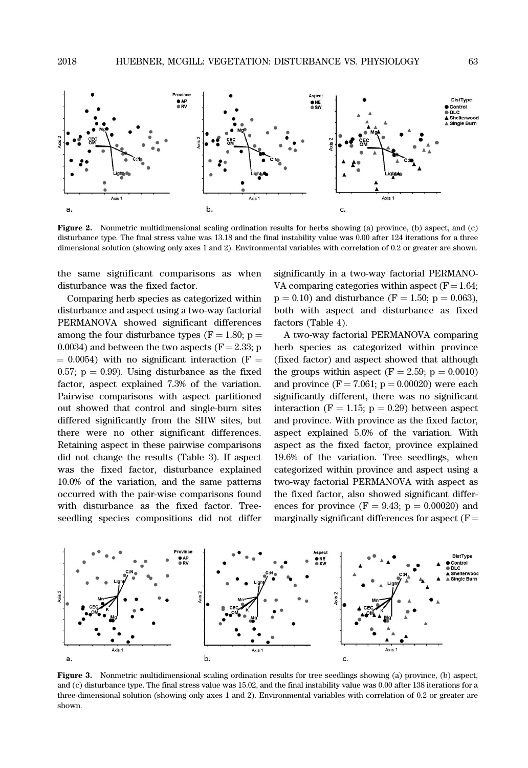

Figure 2. Nonmetric multidimensional scaling ordination results for herbs showing (a) province, (b) aspect, and (c) disturbance type. The final stress value was 13.18 and the final instability value was 0.00 after 124 iterations for a three dimensional solution (showing only axes 1 and 2). Environmental variables with correlation of 0.2 or greater are shown.

the same significant comparisons as when disturbance was the fixed factor.

Comparing herb species as categorized within disturbance and aspect using a two-way factorial PERMANOVA showed significant differences among the four disturbance types ( $F = 1.80$ ; p = 0.0034) and between the two aspects ( $F = 2.33$ ; p  $= 0.0054$ ) with no significant interaction (F  $=$ 0.57;  $p = 0.99$ ). Using disturbance as the fixed factor, aspect explained 7.3% of the variation. Pairwise comparisons with aspect partitioned out showed that control and single-burn sites differed significantly from the SHW sites, but there were no other significant differences. Retaining aspect in these pairwise comparisons did not change the results (Table 3). If aspect was the fixed factor, disturbance explained 10.0% of the variation, and the same patterns occurred with the pair-wise comparisons found with disturbance as the fixed factor. Treeseedling species compositions did not differ significantly in a two-way factorial PERMANO-VA comparing categories within aspect  $(F = 1.64;$  $p = 0.10$ ) and disturbance (F = 1.50;  $p = 0.063$ ), both with aspect and disturbance as fixed factors (Table 4).

A two-way factorial PERMANOVA comparing herb species as categorized within province (fixed factor) and aspect showed that although the groups within aspect  $(F = 2.59; p = 0.0010)$ and province  $(F = 7.061; p = 0.00020)$  were each significantly different, there was no significant interaction ( $F = 1.15$ ;  $p = 0.29$ ) between aspect and province. With province as the fixed factor, aspect explained 5.6% of the variation. With aspect as the fixed factor, province explained 19.6% of the variation. Tree seedlings, when categorized within province and aspect using a two-way factorial PERMANOVA with aspect as the fixed factor, also showed significant differences for province  $(F = 9.43; p = 0.00020)$  and marginally significant differences for aspect  $(F =$ 



Figure 3. Nonmetric multidimensional scaling ordination results for tree seedlings showing (a) province, (b) aspect, and (c) disturbance type. The final stress value was 15.02, and the final instability value was 0.00 after 138 iterations for a three-dimensional solution (showing only axes 1 and 2). Environmental variables with correlation of 0.2 or greater are shown.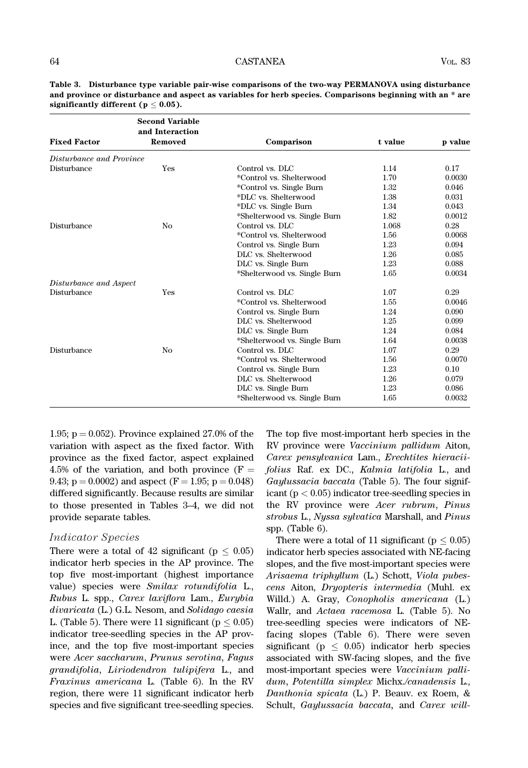#### 64 CASTANEA VOL. 83

| <b>Fixed Factor</b><br>Removed<br>Comparison<br>t value<br>Disturbance and Province<br>Control vs. DLC<br>Disturbance<br>Yes<br>1.14<br>*Control vs. Shelterwood<br>1.70 | p value<br>0.17<br>0.0030<br>0.046<br>0.031<br>0.043 |
|--------------------------------------------------------------------------------------------------------------------------------------------------------------------------|------------------------------------------------------|
|                                                                                                                                                                          |                                                      |
|                                                                                                                                                                          |                                                      |
|                                                                                                                                                                          |                                                      |
|                                                                                                                                                                          |                                                      |
| 1.32<br>*Control vs. Single Burn                                                                                                                                         |                                                      |
| 1.38<br>*DLC vs. Shelterwood                                                                                                                                             |                                                      |
| *DLC vs. Single Burn<br>1.34                                                                                                                                             |                                                      |
| 1.82<br>*Shelterwood vs. Single Burn                                                                                                                                     | 0.0012                                               |
| Disturbance<br>N <sub>0</sub><br>Control vs. DLC<br>1.068                                                                                                                | 0.28                                                 |
| *Control vs. Shelterwood<br>1.56                                                                                                                                         | 0.0068                                               |
| Control vs. Single Burn<br>1.23                                                                                                                                          | 0.094                                                |
| DLC vs. Shelterwood<br>1.26                                                                                                                                              | 0.085                                                |
| 1.23<br>DLC vs. Single Burn                                                                                                                                              | 0.088                                                |
| 1.65<br>*Shelterwood vs. Single Burn                                                                                                                                     | 0.0034                                               |
| Disturbance and Aspect                                                                                                                                                   |                                                      |
| Control vs. DLC<br>Disturbance<br>Yes<br>1.07                                                                                                                            | 0.29                                                 |
| *Control vs. Shelterwood<br>1.55                                                                                                                                         | 0.0046                                               |
| 1.24<br>Control vs. Single Burn                                                                                                                                          | 0.090                                                |
| DLC vs. Shelterwood<br>1.25                                                                                                                                              | 0.099                                                |
| 1.24<br>DLC vs. Single Burn                                                                                                                                              | 0.084                                                |
| 1.64<br>*Shelterwood vs. Single Burn                                                                                                                                     | 0.0038                                               |
| Control vs. DLC<br>1.07<br>Disturbance<br>No                                                                                                                             | 0.29                                                 |
| *Control vs. Shelterwood<br>1.56                                                                                                                                         | 0.0070                                               |
| Control vs. Single Burn<br>1.23                                                                                                                                          | 0.10                                                 |
| DLC vs. Shelterwood<br>1.26                                                                                                                                              | 0.079                                                |
| 1.23<br>DLC vs. Single Burn                                                                                                                                              | 0.086                                                |
| *Shelterwood vs. Single Burn<br>1.65                                                                                                                                     | 0.0032                                               |

Table 3. Disturbance type variable pair-wise comparisons of the two-way PERMANOVA using disturbance and province or disturbance and aspect as variables for herb species. Comparisons beginning with an \* are significantly different ( $p \leq 0.05$ ).

1.95;  $p = 0.052$ ). Province explained 27.0% of the variation with aspect as the fixed factor. With province as the fixed factor, aspect explained 4.5% of the variation, and both province  $(F =$ 9.43;  $p = 0.0002$ ) and aspect (F = 1.95;  $p = 0.048$ ) differed significantly. Because results are similar to those presented in Tables 3–4, we did not provide separate tables.

#### Indicator Species

There were a total of 42 significant ( $p \leq 0.05$ ) indicator herb species in the AP province. The top five most-important (highest importance value) species were Smilax rotundifolia L., Rubus L. spp., Carex laxiflora Lam., Eurybia divaricata (L.) G.L. Nesom, and Solidago caesia L. (Table 5). There were 11 significant ( $p \leq 0.05$ ) indicator tree-seedling species in the AP province, and the top five most-important species were Acer saccharum, Prunus serotina, Fagus grandifolia, Liriodendron tulipifera L., and Fraxinus americana L. (Table 6). In the RV region, there were 11 significant indicator herb species and five significant tree-seedling species.

The top five most-important herb species in the RV province were Vaccinium pallidum Aiton, Carex pensylvanica Lam., Erechtites hieraciifolius Raf. ex DC., Kalmia latifolia L., and Gaylussacia baccata (Table 5). The four significant ( $p < 0.05$ ) indicator tree-seedling species in the RV province were Acer rubrum, Pinus strobus L., Nyssa sylvatica Marshall, and Pinus spp. (Table 6).

There were a total of 11 significant ( $p < 0.05$ ) indicator herb species associated with NE-facing slopes, and the five most-important species were Arisaema triphyllum (L.) Schott, Viola pubescens Aiton, Dryopteris intermedia (Muhl. ex Willd.) A. Gray, Conopholis americana (L.) Wallr, and Actaea racemosa L. (Table 5). No tree-seedling species were indicators of NEfacing slopes (Table 6). There were seven significant ( $p \leq 0.05$ ) indicator herb species associated with SW-facing slopes, and the five most-important species were Vaccinium pallidum, Potentilla simplex Michx./canadensis L., Danthonia spicata (L.) P. Beauv. ex Roem, & Schult, Gaylussacia baccata, and Carex will-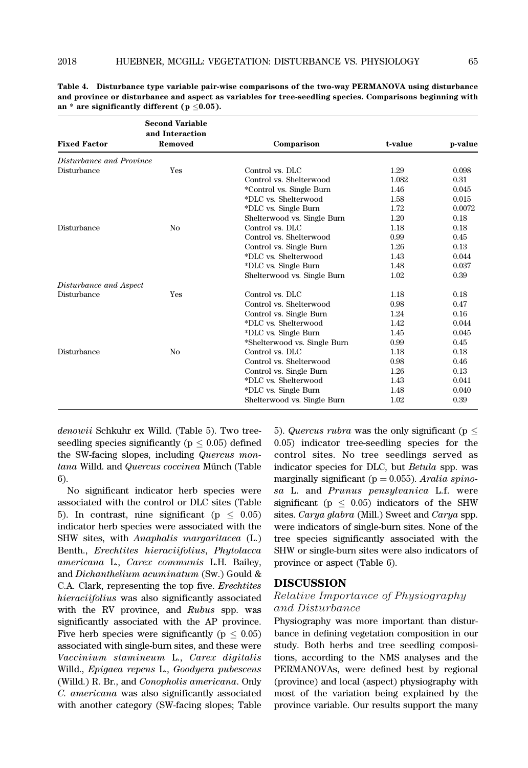|                          | <b>Second Variable</b><br>and Interaction |                              |         |         |
|--------------------------|-------------------------------------------|------------------------------|---------|---------|
| <b>Fixed Factor</b>      | Removed                                   | Comparison                   | t-value | p-value |
| Disturbance and Province |                                           |                              |         |         |
| Disturbance              | Yes                                       | Control vs. DLC              | 1.29    | 0.098   |
|                          |                                           | Control vs. Shelterwood      | 1.082   | 0.31    |
|                          |                                           | *Control vs. Single Burn     | 1.46    | 0.045   |
|                          |                                           | *DLC vs. Shelterwood         | 1.58    | 0.015   |
|                          |                                           | *DLC vs. Single Burn         | 1.72    | 0.0072  |
|                          |                                           | Shelterwood vs. Single Burn  | 1.20    | 0.18    |
| Disturbance              | No                                        | Control vs. DLC              | 1.18    | 0.18    |
|                          |                                           | Control vs. Shelterwood      | 0.99    | 0.45    |
|                          |                                           | Control vs. Single Burn      | 1.26    | 0.13    |
|                          |                                           | *DLC vs. Shelterwood         | 1.43    | 0.044   |
|                          |                                           | *DLC vs. Single Burn         | 1.48    | 0.037   |
|                          |                                           | Shelterwood vs. Single Burn  | 1.02    | 0.39    |
| Disturbance and Aspect   |                                           |                              |         |         |
| Disturbance              | Yes                                       | Control vs. DLC              | 1.18    | 0.18    |
|                          |                                           | Control vs. Shelterwood      | 0.98    | 0.47    |
|                          |                                           | Control vs. Single Burn      | 1.24    | 0.16    |
|                          |                                           | *DLC vs. Shelterwood         | 1.42    | 0.044   |
|                          |                                           | *DLC vs. Single Burn         | 1.45    | 0.045   |
|                          |                                           | *Shelterwood vs. Single Burn | 0.99    | 0.45    |
| Disturbance              | No                                        | Control vs. DLC              | 1.18    | 0.18    |
|                          |                                           | Control vs. Shelterwood      | 0.98    | 0.46    |
|                          |                                           | Control vs. Single Burn      | 1.26    | 0.13    |
|                          |                                           | *DLC vs. Shelterwood         | 1.43    | 0.041   |
|                          |                                           | *DLC vs. Single Burn         | 1.48    | 0.040   |
|                          |                                           | Shelterwood vs. Single Burn  | 1.02    | 0.39    |

Table 4. Disturbance type variable pair-wise comparisons of the two-way PERMANOVA using disturbance and province or disturbance and aspect as variables for tree-seedling species. Comparisons beginning with an \* are significantly different ( $p \le 0.05$ ).

denowii Schkuhr ex Willd. (Table 5). Two treeseedling species significantly ( $p \leq 0.05$ ) defined the SW-facing slopes, including Quercus montana Willd. and Quercus coccinea Münch (Table 6).

No significant indicator herb species were associated with the control or DLC sites (Table 5). In contrast, nine significant ( $p < 0.05$ ) indicator herb species were associated with the SHW sites, with Anaphalis margaritacea (L.) Benth., Erechtites hieraciifolius, Phytolacca americana L., Carex communis L.H. Bailey, and Dichanthelium acuminatum (Sw.) Gould & C.A. Clark, representing the top five. Erechtites hieraciifolius was also significantly associated with the RV province, and Rubus spp. was significantly associated with the AP province. Five herb species were significantly ( $p \leq 0.05$ ) associated with single-burn sites, and these were Vaccinium stamineum L., Carex digitalis Willd., Epigaea repens L., Goodyera pubescens (Willd.) R. Br., and Conopholis americana. Only C. americana was also significantly associated with another category (SW-facing slopes; Table 5). Quercus rubra was the only significant ( $p \leq$ 0.05) indicator tree-seedling species for the control sites. No tree seedlings served as indicator species for DLC, but Betula spp. was marginally significant ( $p = 0.055$ ). Aralia spinosa L. and Prunus pensylvanica L.f. were significant ( $p \leq 0.05$ ) indicators of the SHW sites. Carya glabra (Mill.) Sweet and Carya spp. were indicators of single-burn sites. None of the tree species significantly associated with the SHW or single-burn sites were also indicators of province or aspect (Table 6).

# DISCUSSION

# Relative Importance of Physiography and Disturbance

Physiography was more important than disturbance in defining vegetation composition in our study. Both herbs and tree seedling compositions, according to the NMS analyses and the PERMANOVAs, were defined best by regional (province) and local (aspect) physiography with most of the variation being explained by the province variable. Our results support the many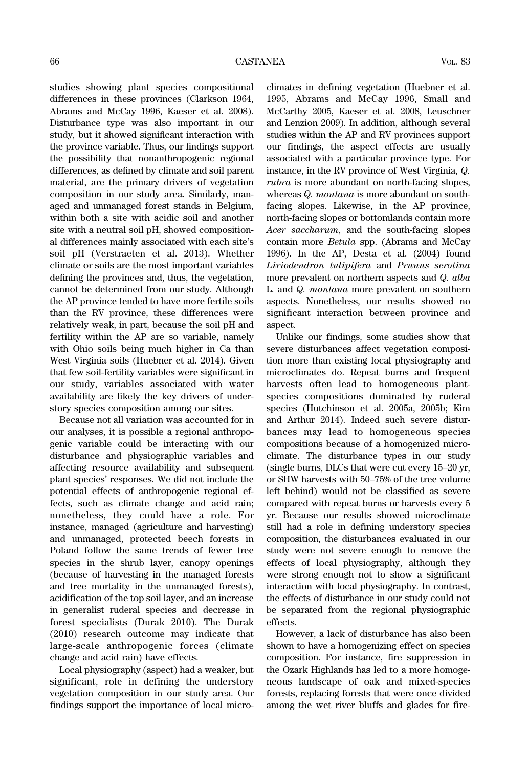studies showing plant species compositional differences in these provinces (Clarkson 1964, Abrams and McCay 1996, Kaeser et al. 2008). Disturbance type was also important in our study, but it showed significant interaction with the province variable. Thus, our findings support the possibility that nonanthropogenic regional differences, as defined by climate and soil parent material, are the primary drivers of vegetation composition in our study area. Similarly, managed and unmanaged forest stands in Belgium, within both a site with acidic soil and another site with a neutral soil pH, showed compositional differences mainly associated with each site's soil pH (Verstraeten et al. 2013). Whether climate or soils are the most important variables defining the provinces and, thus, the vegetation, cannot be determined from our study. Although the AP province tended to have more fertile soils than the RV province, these differences were relatively weak, in part, because the soil pH and fertility within the AP are so variable, namely with Ohio soils being much higher in Ca than West Virginia soils (Huebner et al. 2014). Given that few soil-fertility variables were significant in our study, variables associated with water availability are likely the key drivers of understory species composition among our sites.

Because not all variation was accounted for in our analyses, it is possible a regional anthropogenic variable could be interacting with our disturbance and physiographic variables and affecting resource availability and subsequent plant species' responses. We did not include the potential effects of anthropogenic regional effects, such as climate change and acid rain; nonetheless, they could have a role. For instance, managed (agriculture and harvesting) and unmanaged, protected beech forests in Poland follow the same trends of fewer tree species in the shrub layer, canopy openings (because of harvesting in the managed forests and tree mortality in the unmanaged forests), acidification of the top soil layer, and an increase in generalist ruderal species and decrease in forest specialists (Durak 2010). The Durak (2010) research outcome may indicate that large-scale anthropogenic forces (climate change and acid rain) have effects.

Local physiography (aspect) had a weaker, but significant, role in defining the understory vegetation composition in our study area. Our findings support the importance of local microclimates in defining vegetation (Huebner et al. 1995, Abrams and McCay 1996, Small and McCarthy 2005, Kaeser et al. 2008, Leuschner and Lenzion 2009). In addition, although several studies within the AP and RV provinces support our findings, the aspect effects are usually associated with a particular province type. For instance, in the RV province of West Virginia, Q. rubra is more abundant on north-facing slopes, whereas  $Q$ . montana is more abundant on southfacing slopes. Likewise, in the AP province, north-facing slopes or bottomlands contain more Acer saccharum, and the south-facing slopes contain more Betula spp. (Abrams and McCay 1996). In the AP, Desta et al. (2004) found Liriodendron tulipifera and Prunus serotina more prevalent on northern aspects and Q. alba L. and Q. montana more prevalent on southern aspects. Nonetheless, our results showed no significant interaction between province and aspect.

Unlike our findings, some studies show that severe disturbances affect vegetation composition more than existing local physiography and microclimates do. Repeat burns and frequent harvests often lead to homogeneous plantspecies compositions dominated by ruderal species (Hutchinson et al. 2005a, 2005b; Kim and Arthur 2014). Indeed such severe disturbances may lead to homogeneous species compositions because of a homogenized microclimate. The disturbance types in our study (single burns, DLCs that were cut every 15–20 yr, or SHW harvests with 50–75% of the tree volume left behind) would not be classified as severe compared with repeat burns or harvests every 5 yr. Because our results showed microclimate still had a role in defining understory species composition, the disturbances evaluated in our study were not severe enough to remove the effects of local physiography, although they were strong enough not to show a significant interaction with local physiography. In contrast, the effects of disturbance in our study could not be separated from the regional physiographic effects.

However, a lack of disturbance has also been shown to have a homogenizing effect on species composition. For instance, fire suppression in the Ozark Highlands has led to a more homogeneous landscape of oak and mixed-species forests, replacing forests that were once divided among the wet river bluffs and glades for fire-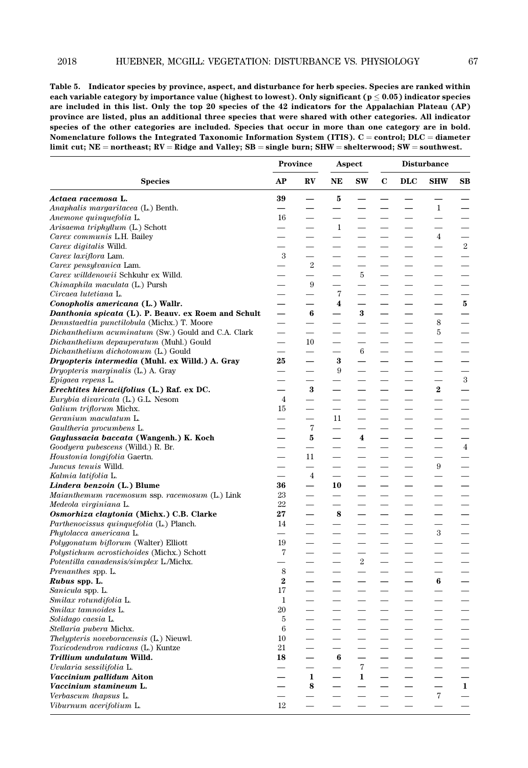#### 2018 HUEBNER, MCGILL: VEGETATION: DISTURBANCE VS. PHYSIOLOGY 67

Table 5. Indicator species by province, aspect, and disturbance for herb species. Species are ranked within each variable category by importance value (highest to lowest). Only significant ( $p \le 0.05$ ) indicator species are included in this list. Only the top 20 species of the 42 indicators for the Appalachian Plateau (AP) province are listed, plus an additional three species that were shared with other categories. All indicator species of the other categories are included. Species that occur in more than one category are in bold. Nomenclature follows the Integrated Taxonomic Information System (ITIS).  $C =$  control; DLC = diameter limit cut; NE = northeast;  $RV = Ridge$  and Valley; SB = single burn; SHW = shelterwood; SW = southwest.

|                                                     |                          | <b>Province</b>          |                          | Aspect                   |                          |                          | <b>Disturbance</b>       |                          |
|-----------------------------------------------------|--------------------------|--------------------------|--------------------------|--------------------------|--------------------------|--------------------------|--------------------------|--------------------------|
| <b>Species</b>                                      | AP                       | $\mathbf{R}\mathbf{V}$   | <b>NE</b>                | SW                       | $\mathbf C$              | <b>DLC</b>               | <b>SHW</b>               | SВ                       |
| Actaea racemosa L.                                  | 39                       |                          | $\bf 5$                  |                          |                          |                          |                          |                          |
| Anaphalis margaritacea (L.) Benth.                  |                          |                          |                          |                          | $\overline{\phantom{0}}$ |                          | $\mathbf{1}$             |                          |
| Anemone quinquefolia L.                             | 16                       |                          |                          |                          | $\overline{\phantom{0}}$ |                          | $\overline{\phantom{a}}$ |                          |
| Arisaema triphyllum (L.) Schott                     | $\overline{\phantom{0}}$ | $\overline{\phantom{0}}$ | $\mathbf{1}$             |                          |                          | $\overline{\phantom{0}}$ |                          |                          |
| Carex communis L.H. Bailey                          | $\overline{\phantom{0}}$ |                          |                          | $\overline{\phantom{0}}$ | $\overline{\phantom{0}}$ | $\overline{\phantom{0}}$ | $\overline{4}$           |                          |
| Carex digitalis Willd.                              |                          |                          |                          |                          |                          |                          |                          | $\overline{2}$           |
| Carex laxiflora Lam.                                | $\,3$                    |                          |                          |                          |                          |                          |                          |                          |
| Carex pensylvanica Lam.                             | $\overline{\phantom{0}}$ | $\,2$                    |                          | $\overline{\phantom{0}}$ |                          |                          |                          |                          |
| Carex willdenowii Schkuhr ex Willd.                 |                          |                          |                          | $\,$ 5 $\,$              |                          |                          |                          |                          |
| Chimaphila maculata (L.) Pursh                      |                          | $\boldsymbol{9}$         |                          |                          |                          |                          |                          |                          |
| Circaea lutetiana L.                                | $\overline{\phantom{0}}$ | $\overline{\phantom{0}}$ | $\overline{7}$           |                          |                          | $\overline{\phantom{0}}$ |                          | $\overline{\phantom{0}}$ |
| Conopholis americana (L.) Wallr.                    |                          |                          | 4                        |                          |                          |                          |                          | 5                        |
| Danthonia spicata (L). P. Beauv. ex Roem and Schult | $\overline{\phantom{0}}$ | 6                        |                          | $\bf{3}$                 |                          |                          |                          |                          |
| Dennstaedtia punctilobula (Michx.) T. Moore         |                          |                          |                          |                          |                          |                          | 8                        |                          |
| Dichanthelium acuminatum (Sw.) Gould and C.A. Clark | $\overline{\phantom{0}}$ | $\overline{\phantom{0}}$ |                          | $\equiv$                 | $\overline{\phantom{0}}$ |                          | 5                        |                          |
| Dichanthelium depauperatum (Muhl.) Gould            | $\overline{\phantom{0}}$ | 10                       | $\overline{\phantom{0}}$ |                          |                          |                          |                          |                          |
| Dichanthelium dichotomum (L.) Gould                 |                          |                          |                          | $\,6\,$                  |                          |                          |                          |                          |
| Dryopteris intermedia (Muhl. ex Willd.) A. Gray     | 25                       |                          | 3                        |                          |                          |                          |                          |                          |
| Dryopteris marginalis (L.) A. Gray                  |                          |                          | 9                        |                          |                          |                          |                          |                          |
| Epigaea repens L.                                   |                          |                          |                          |                          |                          |                          |                          | 3                        |
| Erechtites hieraciifolius (L.) Raf. ex DC.          |                          | 3                        |                          |                          |                          | —                        | $\bf{2}$                 |                          |
| <i>Eurybia divaricata</i> (L.) G.L. Nesom           | $\overline{4}$           |                          | $\overline{\phantom{0}}$ | —                        | —                        |                          |                          |                          |
| Galium triflorum Michx.                             | 15                       |                          |                          |                          |                          |                          |                          |                          |
| Geranium maculatum L.                               |                          |                          | 11                       |                          |                          |                          |                          |                          |
| Gaultheria procumbens L.                            |                          | $\overline{7}$           |                          |                          |                          | $\equiv$                 |                          |                          |
| Gaylussacia baccata (Wangenh.) K. Koch              | —                        | 5                        |                          | $\overline{\mathbf{4}}$  |                          | —                        |                          |                          |
| Goodyera pubescens (Willd.) R. Br.                  |                          |                          |                          |                          |                          |                          |                          | $\overline{4}$           |
| Houstonia longifolia Gaertn.                        | $\overline{\phantom{0}}$ | 11                       |                          |                          |                          |                          |                          |                          |
| Juncus tenuis Willd.                                |                          |                          |                          |                          |                          |                          | 9                        |                          |
| Kalmia latifolia L.                                 | $\overline{\phantom{0}}$ | $\overline{4}$           |                          |                          | $\overline{\phantom{0}}$ |                          |                          |                          |
| Lindera benzoin (L.) Blume                          | 36                       |                          | 10                       |                          |                          |                          |                          |                          |
| Maianthemum racemosum ssp. racemosum (L.) Link      | 23                       |                          |                          |                          |                          |                          |                          |                          |
| Medeola virginiana L.                               | 22                       | $\overline{\phantom{0}}$ |                          |                          |                          |                          |                          |                          |
| Osmorhiza claytonia (Michx.) C.B. Clarke            | 27                       |                          | 8                        |                          |                          |                          |                          |                          |
| <i>Parthenocissus quinquefolia</i> (L.) Planch.     | 14                       |                          |                          |                          |                          |                          |                          |                          |
| Phytolacca americana L.                             | $\overline{\phantom{0}}$ |                          |                          |                          |                          |                          | 3                        |                          |
| <i>Polygonatum biflorum</i> (Walter) Elliott        | 19                       |                          |                          |                          |                          |                          |                          |                          |
| Polystichum acrostichoides (Michx.) Schott          | 7                        | —                        |                          |                          |                          | $\overline{\phantom{0}}$ | $\overline{\phantom{0}}$ |                          |
| Potentilla canadensis/simplex L./Michx.             | $\overline{\phantom{0}}$ | $\overline{\phantom{0}}$ | $\overline{\phantom{0}}$ | $\,2$                    | $\overline{\phantom{0}}$ |                          |                          |                          |
| <i>Prenanthes spp. L.</i>                           | 8                        |                          |                          |                          |                          |                          |                          |                          |
| <i>Rubus</i> spp. L.                                | $\bf 2$                  |                          |                          |                          |                          |                          | 6                        |                          |
| Sanicula spp. L.                                    | 17                       |                          |                          |                          |                          |                          |                          |                          |
| Smilax rotundifolia L.                              | 1                        |                          |                          |                          |                          |                          |                          |                          |
| Smilax tamnoides L.                                 | 20                       |                          |                          | $\overline{\phantom{0}}$ | $\qquad \qquad$          |                          |                          |                          |
| Solidago caesia L.                                  | $\overline{5}$           |                          |                          | $\overline{\phantom{0}}$ | $\overline{\phantom{0}}$ |                          |                          |                          |
| Stellaria pubera Michx.                             | 6                        |                          |                          |                          |                          |                          |                          |                          |
| Thelypteris noveboracensis (L.) Nieuwl.             | 10                       |                          |                          |                          |                          |                          |                          |                          |
| Toxicodendron radicans (L.) Kuntze                  | 21                       |                          |                          |                          |                          |                          |                          |                          |
| Trillium undulatum Willd.                           | 18                       | $\overline{\phantom{0}}$ | 6                        | $\overline{\phantom{0}}$ |                          |                          |                          |                          |
| Uvularia sessilifolia L.                            |                          |                          |                          | 7                        | $\overline{\phantom{0}}$ |                          |                          |                          |
| Vaccinium pallidum Aiton                            |                          | $\mathbf{1}$             |                          | 1                        |                          |                          |                          |                          |
| Vaccinium stamineum L.                              |                          | 8                        |                          |                          |                          |                          |                          | $\mathbf{1}$             |
| Verbascum thapsus L.                                |                          |                          |                          |                          |                          |                          | $\overline{7}$           |                          |
| Viburnum acerifolium L.                             | 12                       |                          |                          |                          |                          |                          |                          |                          |
|                                                     |                          |                          |                          |                          |                          |                          |                          |                          |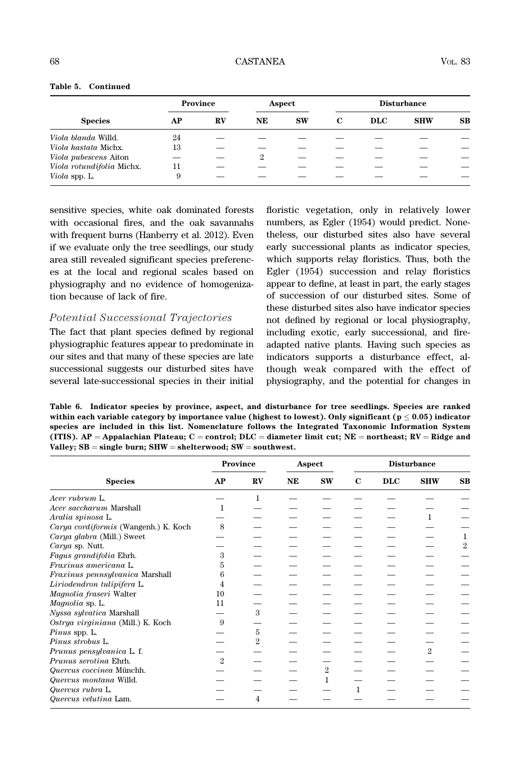|                             |    | <b>Province</b>        | Aspect    |           | <b>Disturbance</b> |      |            |           |  |  |
|-----------------------------|----|------------------------|-----------|-----------|--------------------|------|------------|-----------|--|--|
| <b>Species</b>              | АP | $\mathbf{R}\mathbf{V}$ | <b>NE</b> | <b>SW</b> | C                  | DLC. | <b>SHW</b> | <b>SB</b> |  |  |
| Viola blanda Willd.         | 24 |                        |           |           |                    |      |            |           |  |  |
| <i>Viola hastata</i> Michx. | 13 |                        |           |           |                    |      |            |           |  |  |
| Viola pubescens Aiton       |    |                        | 2         |           |                    |      |            |           |  |  |
| Viola rotundifolia Michx.   | 11 |                        |           |           |                    |      |            |           |  |  |
| <i>Viola</i> spp. L.        | 9  |                        |           |           |                    |      |            |           |  |  |

#### Table 5. Continued

sensitive species, white oak dominated forests with occasional fires, and the oak savannahs with frequent burns (Hanberry et al. 2012). Even if we evaluate only the tree seedlings, our study area still revealed significant species preferences at the local and regional scales based on physiography and no evidence of homogenization because of lack of fire.

#### Potential Successional Trajectories

The fact that plant species defined by regional physiographic features appear to predominate in our sites and that many of these species are late successional suggests our disturbed sites have several late-successional species in their initial

floristic vegetation, only in relatively lower numbers, as Egler (1954) would predict. Nonetheless, our disturbed sites also have several early successional plants as indicator species, which supports relay floristics. Thus, both the Egler (1954) succession and relay floristics appear to define, at least in part, the early stages of succession of our disturbed sites. Some of these disturbed sites also have indicator species not defined by regional or local physiography, including exotic, early successional, and fireadapted native plants. Having such species as indicators supports a disturbance effect, although weak compared with the effect of physiography, and the potential for changes in

Table 6. Indicator species by province, aspect, and disturbance for tree seedlings. Species are ranked within each variable category by importance value (highest to lowest). Only significant ( $p \leq 0.05$ ) indicator species are included in this list. Nomenclature follows the Integrated Taxonomic Information System (ITIS).  $AP = Appalachian Plateau; C = control; DLC = diameter limit cut; NE = northeast; RV = Ridge and$ Valley;  $SB = single burn$ ;  $SHW = shelf$  shelterwood;  $SW = southwest$ .

|                                      | Province       |                         | Aspect |                | <b>Disturbance</b> |            |            |                |  |
|--------------------------------------|----------------|-------------------------|--------|----------------|--------------------|------------|------------|----------------|--|
| <b>Species</b>                       | AP             | $\mathbf{R} \mathbf{V}$ | NE     | <b>SW</b>      | $\mathbf C$        | <b>DLC</b> | <b>SHW</b> | SB             |  |
| Acer rubrum L.                       |                |                         |        |                |                    |            |            |                |  |
| Acer saccharum Marshall              |                |                         |        |                |                    |            |            |                |  |
| Aralia spinosa L.                    |                |                         |        |                |                    |            | 1          |                |  |
| Carya cordiformis (Wangenh.) K. Koch | 8              |                         |        |                |                    |            |            |                |  |
| Carya glabra (Mill.) Sweet           |                |                         |        |                |                    |            |            | 1              |  |
| Carya sp. Nutt.                      |                |                         |        |                |                    |            |            | $\overline{2}$ |  |
| Fagus grandifolia Ehrh.              | 3              |                         |        |                |                    |            |            |                |  |
| Fraxinus americana L.                | 5              |                         |        |                |                    |            |            |                |  |
| Fraxinus pennsylvanica Marshall      | 6              |                         |        |                |                    |            |            |                |  |
| Liriodendron tulipifera L.           | 4              |                         |        |                |                    |            |            |                |  |
| Magnolia fraseri Walter              | 10             |                         |        |                |                    |            |            |                |  |
| Magnolia sp. L.                      | 11             |                         |        |                |                    |            |            |                |  |
| Nyssa sylvatica Marshall             |                | 3                       |        |                |                    |            |            |                |  |
| Ostrya virginiana (Mill.) K. Koch    | 9              |                         |        |                |                    |            |            |                |  |
| Pinus spp. L.                        |                | 5                       |        |                |                    |            |            |                |  |
| Pinus strobus L.                     |                | 2                       |        |                |                    |            |            |                |  |
| Prunus pensylvanica L. f.            |                |                         |        |                |                    |            | 2          |                |  |
| <i>Prunus serotina</i> Ehrh.         | $\overline{2}$ |                         |        |                |                    |            |            |                |  |
| Quercus coccinea Münchh.             |                |                         |        | $\overline{2}$ |                    |            |            |                |  |
| Quercus montana Willd.               |                |                         |        | 1              |                    |            |            |                |  |
| Quercus rubra L.                     |                |                         |        |                | 1                  |            |            |                |  |
| Quercus velutina Lam.                |                | 4                       |        |                |                    |            |            |                |  |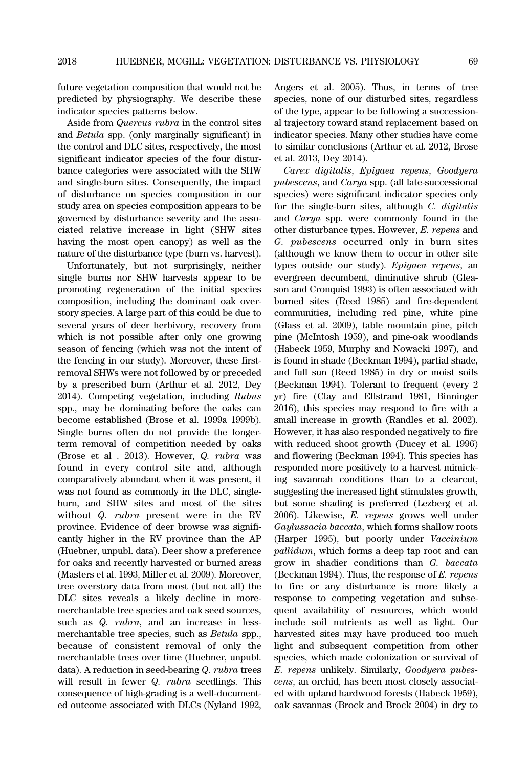future vegetation composition that would not be predicted by physiography. We describe these indicator species patterns below.

Aside from Quercus rubra in the control sites and Betula spp. (only marginally significant) in the control and DLC sites, respectively, the most significant indicator species of the four disturbance categories were associated with the SHW and single-burn sites. Consequently, the impact of disturbance on species composition in our study area on species composition appears to be governed by disturbance severity and the associated relative increase in light (SHW sites having the most open canopy) as well as the nature of the disturbance type (burn vs. harvest).

Unfortunately, but not surprisingly, neither single burns nor SHW harvests appear to be promoting regeneration of the initial species composition, including the dominant oak overstory species. A large part of this could be due to several years of deer herbivory, recovery from which is not possible after only one growing season of fencing (which was not the intent of the fencing in our study). Moreover, these firstremoval SHWs were not followed by or preceded by a prescribed burn (Arthur et al. 2012, Dey 2014). Competing vegetation, including Rubus spp., may be dominating before the oaks can become established (Brose et al. 1999a 1999b). Single burns often do not provide the longerterm removal of competition needed by oaks (Brose et al . 2013). However, Q. rubra was found in every control site and, although comparatively abundant when it was present, it was not found as commonly in the DLC, singleburn, and SHW sites and most of the sites without Q. rubra present were in the RV province. Evidence of deer browse was significantly higher in the RV province than the AP (Huebner, unpubl. data). Deer show a preference for oaks and recently harvested or burned areas (Masters et al. 1993, Miller et al. 2009). Moreover, tree overstory data from most (but not all) the DLC sites reveals a likely decline in moremerchantable tree species and oak seed sources, such as Q. *rubra*, and an increase in lessmerchantable tree species, such as Betula spp., because of consistent removal of only the merchantable trees over time (Huebner, unpubl. data). A reduction in seed-bearing Q. rubra trees will result in fewer Q. rubra seedlings. This consequence of high-grading is a well-documented outcome associated with DLCs (Nyland 1992, Angers et al. 2005). Thus, in terms of tree species, none of our disturbed sites, regardless of the type, appear to be following a successional trajectory toward stand replacement based on indicator species. Many other studies have come to similar conclusions (Arthur et al. 2012, Brose et al. 2013, Dey 2014).

Carex digitalis, Epigaea repens, Goodyera pubescens, and Carya spp. (all late-successional species) were significant indicator species only for the single-burn sites, although  $C$ . *digitalis* and Carya spp. were commonly found in the other disturbance types. However, E. repens and G. pubescens occurred only in burn sites (although we know them to occur in other site types outside our study). Epigaea repens, an evergreen decumbent, diminutive shrub (Gleason and Cronquist 1993) is often associated with burned sites (Reed 1985) and fire-dependent communities, including red pine, white pine (Glass et al. 2009), table mountain pine, pitch pine (McIntosh 1959), and pine-oak woodlands (Habeck 1959, Murphy and Nowacki 1997), and is found in shade (Beckman 1994), partial shade, and full sun (Reed 1985) in dry or moist soils (Beckman 1994). Tolerant to frequent (every 2 yr) fire (Clay and Ellstrand 1981, Binninger 2016), this species may respond to fire with a small increase in growth (Randles et al. 2002). However, it has also responded negatively to fire with reduced shoot growth (Ducey et al. 1996) and flowering (Beckman 1994). This species has responded more positively to a harvest mimicking savannah conditions than to a clearcut, suggesting the increased light stimulates growth, but some shading is preferred (Lezberg et al. 2006). Likewise, E. repens grows well under Gaylussacia baccata, which forms shallow roots (Harper 1995), but poorly under Vaccinium pallidum, which forms a deep tap root and can grow in shadier conditions than G. baccata (Beckman 1994). Thus, the response of E. repens to fire or any disturbance is more likely a response to competing vegetation and subsequent availability of resources, which would include soil nutrients as well as light. Our harvested sites may have produced too much light and subsequent competition from other species, which made colonization or survival of E. repens unlikely. Similarly, Goodyera pubescens, an orchid, has been most closely associated with upland hardwood forests (Habeck 1959), oak savannas (Brock and Brock 2004) in dry to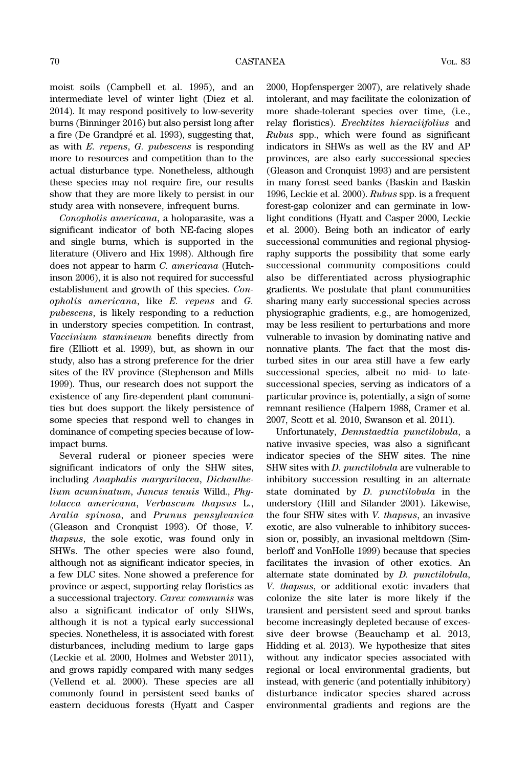moist soils (Campbell et al. 1995), and an intermediate level of winter light (Diez et al. 2014). It may respond positively to low-severity burns (Binninger 2016) but also persist long after a fire (De Grandpré et al. 1993), suggesting that, as with E. repens, G. pubescens is responding more to resources and competition than to the actual disturbance type. Nonetheless, although these species may not require fire, our results show that they are more likely to persist in our study area with nonsevere, infrequent burns.

Conopholis americana, a holoparasite, was a significant indicator of both NE-facing slopes and single burns, which is supported in the literature (Olivero and Hix 1998). Although fire does not appear to harm C. americana (Hutchinson 2006), it is also not required for successful establishment and growth of this species. Conopholis americana, like E. repens and G. pubescens, is likely responding to a reduction in understory species competition. In contrast, Vaccinium stamineum benefits directly from fire (Elliott et al. 1999), but, as shown in our study, also has a strong preference for the drier sites of the RV province (Stephenson and Mills 1999). Thus, our research does not support the existence of any fire-dependent plant communities but does support the likely persistence of some species that respond well to changes in dominance of competing species because of lowimpact burns.

Several ruderal or pioneer species were significant indicators of only the SHW sites, including Anaphalis margaritacea, Dichanthelium acuminatum, Juncus tenuis Willd., Phytolacca americana, Verbascum thapsus L., Aralia spinosa, and Prunus pensylvanica (Gleason and Cronquist 1993). Of those, V. thapsus, the sole exotic, was found only in SHWs. The other species were also found, although not as significant indicator species, in a few DLC sites. None showed a preference for province or aspect, supporting relay floristics as a successional trajectory. Carex communis was also a significant indicator of only SHWs, although it is not a typical early successional species. Nonetheless, it is associated with forest disturbances, including medium to large gaps (Leckie et al. 2000, Holmes and Webster 2011), and grows rapidly compared with many sedges (Vellend et al. 2000). These species are all commonly found in persistent seed banks of eastern deciduous forests (Hyatt and Casper 2000, Hopfensperger 2007), are relatively shade intolerant, and may facilitate the colonization of more shade-tolerant species over time, (i.e., relay floristics). Erechtites hieraciifolius and Rubus spp., which were found as significant indicators in SHWs as well as the RV and AP provinces, are also early successional species (Gleason and Cronquist 1993) and are persistent in many forest seed banks (Baskin and Baskin 1996, Leckie et al. 2000). Rubus spp. is a frequent forest-gap colonizer and can germinate in lowlight conditions (Hyatt and Casper 2000, Leckie et al. 2000). Being both an indicator of early successional communities and regional physiography supports the possibility that some early successional community compositions could also be differentiated across physiographic gradients. We postulate that plant communities sharing many early successional species across physiographic gradients, e.g., are homogenized, may be less resilient to perturbations and more vulnerable to invasion by dominating native and nonnative plants. The fact that the most disturbed sites in our area still have a few early successional species, albeit no mid- to latesuccessional species, serving as indicators of a particular province is, potentially, a sign of some remnant resilience (Halpern 1988, Cramer et al. 2007, Scott et al. 2010, Swanson et al. 2011).

Unfortunately, Dennstaedtia punctilobula, a native invasive species, was also a significant indicator species of the SHW sites. The nine SHW sites with D. punctilobula are vulnerable to inhibitory succession resulting in an alternate state dominated by D. punctilobula in the understory (Hill and Silander 2001). Likewise, the four SHW sites with V. thapsus, an invasive exotic, are also vulnerable to inhibitory succession or, possibly, an invasional meltdown (Simberloff and VonHolle 1999) because that species facilitates the invasion of other exotics. An alternate state dominated by D. punctilobula, V. thapsus, or additional exotic invaders that colonize the site later is more likely if the transient and persistent seed and sprout banks become increasingly depleted because of excessive deer browse (Beauchamp et al. 2013, Hidding et al. 2013). We hypothesize that sites without any indicator species associated with regional or local environmental gradients, but instead, with generic (and potentially inhibitory) disturbance indicator species shared across environmental gradients and regions are the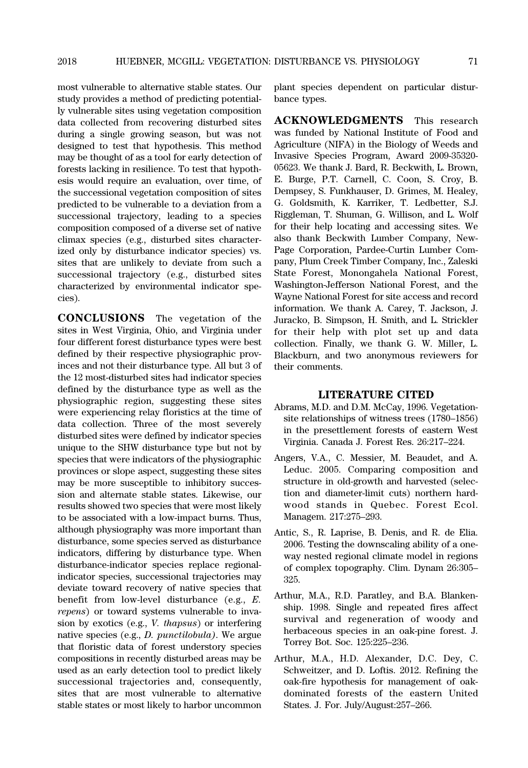most vulnerable to alternative stable states. Our study provides a method of predicting potentially vulnerable sites using vegetation composition data collected from recovering disturbed sites during a single growing season, but was not designed to test that hypothesis. This method may be thought of as a tool for early detection of forests lacking in resilience. To test that hypothesis would require an evaluation, over time, of the successional vegetation composition of sites predicted to be vulnerable to a deviation from a successional trajectory, leading to a species composition composed of a diverse set of native climax species (e.g., disturbed sites characterized only by disturbance indicator species) vs. sites that are unlikely to deviate from such a successional trajectory (e.g., disturbed sites characterized by environmental indicator species).

CONCLUSIONS The vegetation of the sites in West Virginia, Ohio, and Virginia under four different forest disturbance types were best defined by their respective physiographic provinces and not their disturbance type. All but 3 of the 12 most-disturbed sites had indicator species defined by the disturbance type as well as the physiographic region, suggesting these sites were experiencing relay floristics at the time of data collection. Three of the most severely disturbed sites were defined by indicator species unique to the SHW disturbance type but not by species that were indicators of the physiographic provinces or slope aspect, suggesting these sites may be more susceptible to inhibitory succession and alternate stable states. Likewise, our results showed two species that were most likely to be associated with a low-impact burns. Thus, although physiography was more important than disturbance, some species served as disturbance indicators, differing by disturbance type. When disturbance-indicator species replace regionalindicator species, successional trajectories may deviate toward recovery of native species that benefit from low-level disturbance (e.g., E. repens) or toward systems vulnerable to invasion by exotics (e.g., V. thapsus) or interfering native species (e.g., D. punctilobula). We argue that floristic data of forest understory species compositions in recently disturbed areas may be used as an early detection tool to predict likely successional trajectories and, consequently, sites that are most vulnerable to alternative stable states or most likely to harbor uncommon plant species dependent on particular disturbance types.

ACKNOWLEDGMENTS This research was funded by National Institute of Food and Agriculture (NIFA) in the Biology of Weeds and Invasive Species Program, Award 2009-35320- 05623. We thank J. Bard, R. Beckwith, L. Brown, E. Burge, P.T. Carnell, C. Coon, S. Croy, B. Dempsey, S. Funkhauser, D. Grimes, M. Healey, G. Goldsmith, K. Karriker, T. Ledbetter, S.J. Riggleman, T. Shuman, G. Willison, and L. Wolf for their help locating and accessing sites. We also thank Beckwith Lumber Company, New-Page Corporation, Pardee-Curtin Lumber Company, Plum Creek Timber Company, Inc., Zaleski State Forest, Monongahela National Forest, Washington-Jefferson National Forest, and the Wayne National Forest for site access and record information. We thank A. Carey, T. Jackson, J. Juracko, B. Simpson, H. Smith, and L. Strickler for their help with plot set up and data collection. Finally, we thank G. W. Miller, L. Blackburn, and two anonymous reviewers for their comments.

#### LITERATURE CITED

- Abrams, M.D. and D.M. McCay, 1996. Vegetationsite relationships of witness trees (1780–1856) in the presettlement forests of eastern West Virginia. Canada J. Forest Res. 26:217–224.
- Angers, V.A., C. Messier, M. Beaudet, and A. Leduc. 2005. Comparing composition and structure in old-growth and harvested (selection and diameter-limit cuts) northern hardwood stands in Quebec. Forest Ecol. Managem. 217:275–293.
- Antic, S., R. Laprise, B. Denis, and R. de Elia. 2006. Testing the downscaling ability of a oneway nested regional climate model in regions of complex topography. Clim. Dynam 26:305– 325.
- Arthur, M.A., R.D. Paratley, and B.A. Blankenship. 1998. Single and repeated fires affect survival and regeneration of woody and herbaceous species in an oak-pine forest. J. Torrey Bot. Soc. 125:225–236.
- Arthur, M.A., H.D. Alexander, D.C. Dey, C. Schweitzer, and D. Loftis. 2012. Refining the oak-fire hypothesis for management of oakdominated forests of the eastern United States. J. For. July/August:257–266.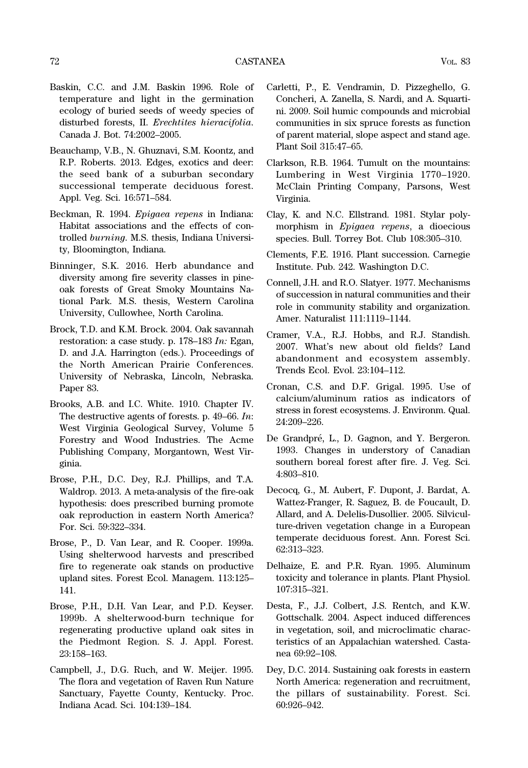- Baskin, C.C. and J.M. Baskin 1996. Role of temperature and light in the germination ecology of buried seeds of weedy species of disturbed forests, II. Erechtites hieracifolia. Canada J. Bot. 74:2002–2005.
- Beauchamp, V.B., N. Ghuznavi, S.M. Koontz, and R.P. Roberts. 2013. Edges, exotics and deer: the seed bank of a suburban secondary successional temperate deciduous forest. Appl. Veg. Sci. 16:571–584.
- Beckman, R. 1994. Epigaea repens in Indiana: Habitat associations and the effects of controlled burning. M.S. thesis, Indiana University, Bloomington, Indiana.
- Binninger, S.K. 2016. Herb abundance and diversity among fire severity classes in pineoak forests of Great Smoky Mountains National Park. M.S. thesis, Western Carolina University, Cullowhee, North Carolina.
- Brock, T.D. and K.M. Brock. 2004. Oak savannah restoration: a case study. p. 178–183 In: Egan, D. and J.A. Harrington (eds.). Proceedings of the North American Prairie Conferences. University of Nebraska, Lincoln, Nebraska. Paper 83.
- Brooks, A.B. and I.C. White. 1910. Chapter IV. The destructive agents of forests. p. 49–66. In: West Virginia Geological Survey, Volume 5 Forestry and Wood Industries. The Acme Publishing Company, Morgantown, West Virginia.
- Brose, P.H., D.C. Dey, R.J. Phillips, and T.A. Waldrop. 2013. A meta-analysis of the fire-oak hypothesis: does prescribed burning promote oak reproduction in eastern North America? For. Sci. 59:322–334.
- Brose, P., D. Van Lear, and R. Cooper. 1999a. Using shelterwood harvests and prescribed fire to regenerate oak stands on productive upland sites. Forest Ecol. Managem. 113:125– 141.
- Brose, P.H., D.H. Van Lear, and P.D. Keyser. 1999b. A shelterwood-burn technique for regenerating productive upland oak sites in the Piedmont Region. S. J. Appl. Forest. 23:158–163.
- Campbell, J., D.G. Ruch, and W. Meijer. 1995. The flora and vegetation of Raven Run Nature Sanctuary, Fayette County, Kentucky. Proc. Indiana Acad. Sci. 104:139–184.
- Carletti, P., E. Vendramin, D. Pizzeghello, G. Concheri, A. Zanella, S. Nardi, and A. Squartini. 2009. Soil humic compounds and microbial communities in six spruce forests as function of parent material, slope aspect and stand age. Plant Soil 315:47–65.
- Clarkson, R.B. 1964. Tumult on the mountains: Lumbering in West Virginia 1770–1920. McClain Printing Company, Parsons, West Virginia.
- Clay, K. and N.C. Ellstrand. 1981. Stylar polymorphism in Epigaea repens, a dioecious species. Bull. Torrey Bot. Club 108:305–310.
- Clements, F.E. 1916. Plant succession. Carnegie Institute. Pub. 242. Washington D.C.
- Connell, J.H. and R.O. Slatyer. 1977. Mechanisms of succession in natural communities and their role in community stability and organization. Amer. Naturalist 111:1119–1144.
- Cramer, V.A., R.J. Hobbs, and R.J. Standish. 2007. What's new about old fields? Land abandonment and ecosystem assembly. Trends Ecol. Evol. 23:104–112.
- Cronan, C.S. and D.F. Grigal. 1995. Use of calcium/aluminum ratios as indicators of stress in forest ecosystems. J. Environm. Qual. 24:209–226.
- De Grandpré, L., D. Gagnon, and Y. Bergeron. 1993. Changes in understory of Canadian southern boreal forest after fire. J. Veg. Sci. 4:803–810.
- Decocq, G., M. Aubert, F. Dupont, J. Bardat, A. Wattez-Franger, R. Saguez, B. de Foucault, D. Allard, and A. Delelis-Dusollier. 2005. Silviculture-driven vegetation change in a European temperate deciduous forest. Ann. Forest Sci. 62:313–323.
- Delhaize, E. and P.R. Ryan. 1995. Aluminum toxicity and tolerance in plants. Plant Physiol. 107:315–321.
- Desta, F., J.J. Colbert, J.S. Rentch, and K.W. Gottschalk. 2004. Aspect induced differences in vegetation, soil, and microclimatic characteristics of an Appalachian watershed. Castanea 69:92–108.
- Dey, D.C. 2014. Sustaining oak forests in eastern North America: regeneration and recruitment, the pillars of sustainability. Forest. Sci. 60:926–942.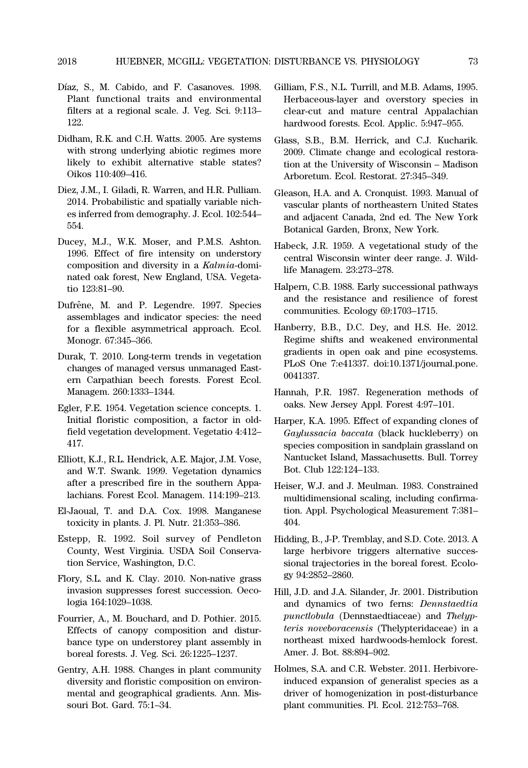#### 2018 HUEBNER, MCGILL: VEGETATION: DISTURBANCE VS. PHYSIOLOGY 73

- Díaz, S., M. Cabido, and F. Casanoves. 1998. Plant functional traits and environmental filters at a regional scale. J. Veg. Sci. 9:113– 122.
- Didham, R.K. and C.H. Watts. 2005. Are systems with strong underlying abiotic regimes more likely to exhibit alternative stable states? Oikos 110:409–416.
- Diez, J.M., I. Giladi, R. Warren, and H.R. Pulliam. 2014. Probabilistic and spatially variable niches inferred from demography. J. Ecol. 102:544– 554.
- Ducey, M.J., W.K. Moser, and P.M.S. Ashton. 1996. Effect of fire intensity on understory composition and diversity in a Kalmia-dominated oak forest, New England, USA. Vegetatio 123:81–90.
- Dufrêne, M. and P. Legendre. 1997. Species assemblages and indicator species: the need for a flexible asymmetrical approach. Ecol. Monogr. 67:345–366.
- Durak, T. 2010. Long-term trends in vegetation changes of managed versus unmanaged Eastern Carpathian beech forests. Forest Ecol. Managem. 260:1333–1344.
- Egler, F.E. 1954. Vegetation science concepts. 1. Initial floristic composition, a factor in oldfield vegetation development. Vegetatio 4:412– 417.
- Elliott, K.J., R.L. Hendrick, A.E. Major, J.M. Vose, and W.T. Swank. 1999. Vegetation dynamics after a prescribed fire in the southern Appalachians. Forest Ecol. Managem. 114:199–213.
- El-Jaoual, T. and D.A. Cox. 1998. Manganese toxicity in plants. J. Pl. Nutr. 21:353–386.
- Estepp, R. 1992. Soil survey of Pendleton County, West Virginia. USDA Soil Conservation Service, Washington, D.C.
- Flory, S.L. and K. Clay. 2010. Non-native grass invasion suppresses forest succession. Oecologia 164:1029–1038.
- Fourrier, A., M. Bouchard, and D. Pothier. 2015. Effects of canopy composition and disturbance type on understorey plant assembly in boreal forests. J. Veg. Sci. 26:1225–1237.
- Gentry, A.H. 1988. Changes in plant community diversity and floristic composition on environmental and geographical gradients. Ann. Missouri Bot. Gard. 75:1–34.
- Gilliam, F.S., N.L. Turrill, and M.B. Adams, 1995. Herbaceous-layer and overstory species in clear-cut and mature central Appalachian hardwood forests. Ecol. Applic. 5:947–955.
- Glass, S.B., B.M. Herrick, and C.J. Kucharik. 2009. Climate change and ecological restoration at the University of Wisconsin – Madison Arboretum. Ecol. Restorat. 27:345–349.
- Gleason, H.A. and A. Cronquist. 1993. Manual of vascular plants of northeastern United States and adjacent Canada, 2nd ed. The New York Botanical Garden, Bronx, New York.
- Habeck, J.R. 1959. A vegetational study of the central Wisconsin winter deer range. J. Wildlife Managem. 23:273–278.
- Halpern, C.B. 1988. Early successional pathways and the resistance and resilience of forest communities. Ecology 69:1703–1715.
- Hanberry, B.B., D.C. Dey, and H.S. He. 2012. Regime shifts and weakened environmental gradients in open oak and pine ecosystems. PLoS One 7:e41337. doi:10.1371/journal.pone. 0041337.
- Hannah, P.R. 1987. Regeneration methods of oaks. New Jersey Appl. Forest 4:97–101.
- Harper, K.A. 1995. Effect of expanding clones of Gaylussacia baccata (black huckleberry) on species composition in sandplain grassland on Nantucket Island, Massachusetts. Bull. Torrey Bot. Club 122:124–133.
- Heiser, W.J. and J. Meulman. 1983. Constrained multidimensional scaling, including confirmation. Appl. Psychological Measurement 7:381– 404.
- Hidding, B., J-P. Tremblay, and S.D. Cote. 2013. A large herbivore triggers alternative successional trajectories in the boreal forest. Ecology 94:2852–2860.
- Hill, J.D. and J.A. Silander, Jr. 2001. Distribution and dynamics of two ferns: Dennstaedtia punctlobula (Dennstaedtiaceae) and Thelypteris noveboracensis (Thelypteridaceae) in a northeast mixed hardwoods-hemlock forest. Amer. J. Bot. 88:894–902.
- Holmes, S.A. and C.R. Webster. 2011. Herbivoreinduced expansion of generalist species as a driver of homogenization in post-disturbance plant communities. Pl. Ecol. 212:753–768.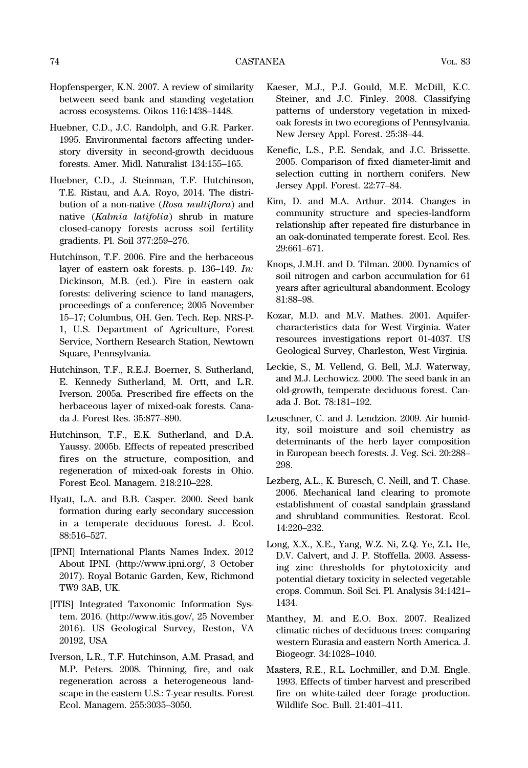- Hopfensperger, K.N. 2007. A review of similarity between seed bank and standing vegetation across ecosystems. Oikos 116:1438–1448.
- Huebner, C.D., J.C. Randolph, and G.R. Parker. 1995. Environmental factors affecting understory diversity in second-growth deciduous forests. Amer. Midl. Naturalist 134:155–165.
- Huebner, C.D., J. Steinman, T.F. Hutchinson, T.E. Ristau, and A.A. Royo, 2014. The distribution of a non-native (Rosa multiflora) and native (Kalmia latifolia) shrub in mature closed-canopy forests across soil fertility gradients. Pl. Soil 377:259–276.
- Hutchinson, T.F. 2006. Fire and the herbaceous layer of eastern oak forests. p. 136–149. In: Dickinson, M.B. (ed.). Fire in eastern oak forests: delivering science to land managers, proceedings of a conference; 2005 November 15–17; Columbus, OH. Gen. Tech. Rep. NRS-P-1, U.S. Department of Agriculture, Forest Service, Northern Research Station, Newtown Square, Pennsylvania.
- Hutchinson, T.F., R.E.J. Boerner, S. Sutherland, E. Kennedy Sutherland, M. Ortt, and L.R. Iverson. 2005a. Prescribed fire effects on the herbaceous layer of mixed-oak forests. Canada J. Forest Res. 35:877–890.
- Hutchinson, T.F., E.K. Sutherland, and D.A. Yaussy. 2005b. Effects of repeated prescribed fires on the structure, composition, and regeneration of mixed-oak forests in Ohio. Forest Ecol. Managem. 218:210–228.
- Hyatt, L.A. and B.B. Casper. 2000. Seed bank formation during early secondary succession in a temperate deciduous forest. J. Ecol. 88:516–527.
- [IPNI] International Plants Names Index. 2012 About IPNI. (http://www.ipni.org/, 3 October 2017). Royal Botanic Garden, Kew, Richmond TW9 3AB, UK.
- [ITIS] Integrated Taxonomic Information System. 2016. (http://www.itis.gov/, 25 November 2016). US Geological Survey, Reston, VA 20192, USA
- Iverson, L.R., T.F. Hutchinson, A.M. Prasad, and M.P. Peters. 2008. Thinning, fire, and oak regeneration across a heterogeneous landscape in the eastern U.S.: 7-year results. Forest Ecol. Managem. 255:3035–3050.
- Kaeser, M.J., P.J. Gould, M.E. McDill, K.C. Steiner, and J.C. Finley. 2008. Classifying patterns of understory vegetation in mixedoak forests in two ecoregions of Pennsylvania. New Jersey Appl. Forest. 25:38–44.
- Kenefic, L.S., P.E. Sendak, and J.C. Brissette. 2005. Comparison of fixed diameter-limit and selection cutting in northern conifers. New Jersey Appl. Forest. 22:77–84.
- Kim, D. and M.A. Arthur. 2014. Changes in community structure and species-landform relationship after repeated fire disturbance in an oak-dominated temperate forest. Ecol. Res. 29:661–671.
- Knops, J.M.H. and D. Tilman. 2000. Dynamics of soil nitrogen and carbon accumulation for 61 years after agricultural abandonment. Ecology 81:88–98.
- Kozar, M.D. and M.V. Mathes. 2001. Aquifercharacteristics data for West Virginia. Water resources investigations report 01-4037. US Geological Survey, Charleston, West Virginia.
- Leckie, S., M. Vellend, G. Bell, M.J. Waterway, and M.J. Lechowicz. 2000. The seed bank in an old-growth, temperate deciduous forest. Canada J. Bot. 78:181–192.
- Leuschner, C. and J. Lendzion. 2009. Air humidity, soil moisture and soil chemistry as determinants of the herb layer composition in European beech forests. J. Veg. Sci. 20:288– 298.
- Lezberg, A.L., K. Buresch, C. Neill, and T. Chase. 2006. Mechanical land clearing to promote establishment of coastal sandplain grassland and shrubland communities. Restorat. Ecol. 14:220–232.
- Long, X.X., X.E., Yang, W.Z. Ni, Z.Q. Ye, Z.L. He, D.V. Calvert, and J. P. Stoffella. 2003. Assessing zinc thresholds for phytotoxicity and potential dietary toxicity in selected vegetable crops. Commun. Soil Sci. Pl. Analysis 34:1421– 1434.
- Manthey, M. and E.O. Box. 2007. Realized climatic niches of deciduous trees: comparing western Eurasia and eastern North America. J. Biogeogr. 34:1028–1040.
- Masters, R.E., R.L. Lochmiller, and D.M. Engle. 1993. Effects of timber harvest and prescribed fire on white-tailed deer forage production. Wildlife Soc. Bull. 21:401–411.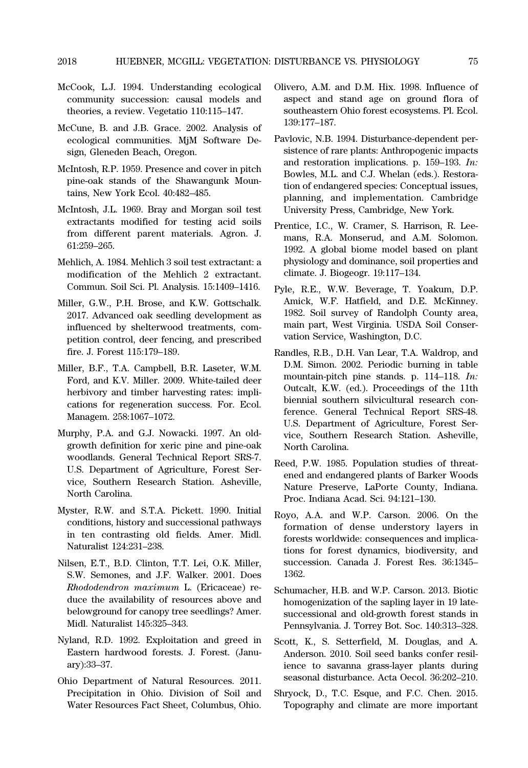- McCook, L.J. 1994. Understanding ecological community succession: causal models and theories, a review. Vegetatio 110:115–147.
- McCune, B. and J.B. Grace. 2002. Analysis of ecological communities. MjM Software Design, Gleneden Beach, Oregon.
- McIntosh, R.P. 1959. Presence and cover in pitch pine-oak stands of the Shawangunk Mountains, New York Ecol. 40:482–485.
- McIntosh, J.L. 1969. Bray and Morgan soil test extractants modified for testing acid soils from different parent materials. Agron. J. 61:259–265.
- Mehlich, A. 1984. Mehlich 3 soil test extractant: a modification of the Mehlich 2 extractant. Commun. Soil Sci. Pl. Analysis. 15:1409–1416.
- Miller, G.W., P.H. Brose, and K.W. Gottschalk. 2017. Advanced oak seedling development as influenced by shelterwood treatments, competition control, deer fencing, and prescribed fire. J. Forest 115:179–189.
- Miller, B.F., T.A. Campbell, B.R. Laseter, W.M. Ford, and K.V. Miller. 2009. White-tailed deer herbivory and timber harvesting rates: implications for regeneration success. For. Ecol. Managem. 258:1067–1072.
- Murphy, P.A. and G.J. Nowacki. 1997. An oldgrowth definition for xeric pine and pine-oak woodlands. General Technical Report SRS-7. U.S. Department of Agriculture, Forest Service, Southern Research Station. Asheville, North Carolina.
- Myster, R.W. and S.T.A. Pickett. 1990. Initial conditions, history and successional pathways in ten contrasting old fields. Amer. Midl. Naturalist 124:231–238.
- Nilsen, E.T., B.D. Clinton, T.T. Lei, O.K. Miller, S.W. Semones, and J.F. Walker. 2001. Does Rhododendron maximum L. (Ericaceae) reduce the availability of resources above and belowground for canopy tree seedlings? Amer. Midl. Naturalist 145:325–343.
- Nyland, R.D. 1992. Exploitation and greed in Eastern hardwood forests. J. Forest. (January):33–37.
- Ohio Department of Natural Resources. 2011. Precipitation in Ohio. Division of Soil and Water Resources Fact Sheet, Columbus, Ohio.
- Olivero, A.M. and D.M. Hix. 1998. Influence of aspect and stand age on ground flora of southeastern Ohio forest ecosystems. Pl. Ecol. 139:177–187.
- Pavlovic, N.B. 1994. Disturbance-dependent persistence of rare plants: Anthropogenic impacts and restoration implications. p. 159–193. In: Bowles, M.L. and C.J. Whelan (eds.). Restoration of endangered species: Conceptual issues, planning, and implementation. Cambridge University Press, Cambridge, New York.
- Prentice, I.C., W. Cramer, S. Harrison, R. Leemans, R.A. Monserud, and A.M. Solomon. 1992. A global biome model based on plant physiology and dominance, soil properties and climate. J. Biogeogr. 19:117–134.
- Pyle, R.E., W.W. Beverage, T. Yoakum, D.P. Amick, W.F. Hatfield, and D.E. McKinney. 1982. Soil survey of Randolph County area, main part, West Virginia. USDA Soil Conservation Service, Washington, D.C.
- Randles, R.B., D.H. Van Lear, T.A. Waldrop, and D.M. Simon. 2002. Periodic burning in table mountain-pitch pine stands. p. 114–118. In: Outcalt, K.W. (ed.). Proceedings of the 11th biennial southern silvicultural research conference. General Technical Report SRS-48. U.S. Department of Agriculture, Forest Service, Southern Research Station. Asheville, North Carolina.
- Reed, P.W. 1985. Population studies of threatened and endangered plants of Barker Woods Nature Preserve, LaPorte County, Indiana. Proc. Indiana Acad. Sci. 94:121–130.
- Royo, A.A. and W.P. Carson. 2006. On the formation of dense understory layers in forests worldwide: consequences and implications for forest dynamics, biodiversity, and succession. Canada J. Forest Res. 36:1345– 1362.
- Schumacher, H.B. and W.P. Carson. 2013. Biotic homogenization of the sapling layer in 19 latesuccessional and old-growth forest stands in Pennsylvania. J. Torrey Bot. Soc. 140:313–328.
- Scott, K., S. Setterfield, M. Douglas, and A. Anderson. 2010. Soil seed banks confer resilience to savanna grass-layer plants during seasonal disturbance. Acta Oecol. 36:202–210.
- Shryock, D., T.C. Esque, and F.C. Chen. 2015. Topography and climate are more important